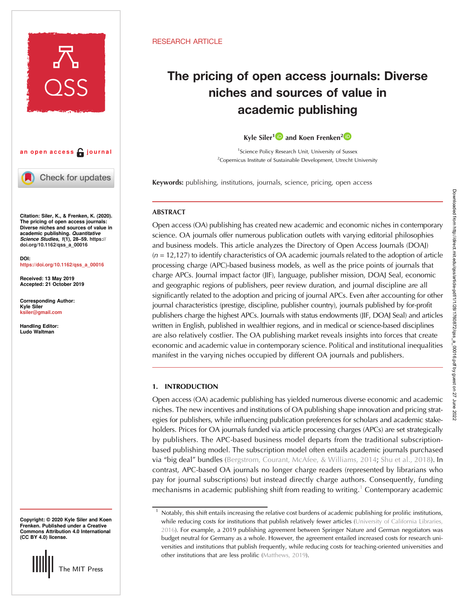



Check for updates

Citation: Siler, K., & Frenken, K. (2020). The pricing of open access journals: Diverse niches and sources of value in academic publishing. Quantitative Science Studies, 1(1), 28–59. [https://](https://doi.org/10.1162/qss_a_00016) [doi.org/10.1162/qss\\_a\\_00016](https://doi.org/10.1162/qss_a_00016)

DOI: [https://doi.org/10.1162/qss\\_a\\_00016](https://doi.org/10.1162/qss_a_00016)

Received: 13 May 2019 Accepted: 21 October 2019

Corresponding Author: Kyle Siler [ksiler@gmail.com](mailto:ksiler@gmail.com)

Handling Editor: Ludo Waltman

Copyright: © 2020 Kyle Siler and Koen Frenken. Published under a Creative Commons Attribution 4.0 International (CC BY 4.0) license.



# RESEARCH ARTICLE

# The pricing of open access journals: Diverse niches and sources of value in academic publishing

# Kyle Siler<sup>1</sup><sup>1</sup> and Koen Frenken<sup>2</sup><sup>1</sup>

<sup>1</sup>Science Policy Research Unit, University of Sussex <sup>2</sup>Copernicus Institute of Sustainable Development, Utrecht University

Keywords: publishing, institutions, journals, science, pricing, open access

# ABSTRACT

Open access (OA) publishing has created new academic and economic niches in contemporary science. OA journals offer numerous publication outlets with varying editorial philosophies and business models. This article analyzes the Directory of Open Access Journals (DOAJ)  $(n = 12,127)$  to identify characteristics of OA academic journals related to the adoption of article processing charge (APC)-based business models, as well as the price points of journals that charge APCs. Journal impact factor (JIF), language, publisher mission, DOAJ Seal, economic and geographic regions of publishers, peer review duration, and journal discipline are all significantly related to the adoption and pricing of journal APCs. Even after accounting for other journal characteristics (prestige, discipline, publisher country), journals published by for-profit publishers charge the highest APCs. Journals with status endowments (JIF, DOAJ Seal) and articles written in English, published in wealthier regions, and in medical or science-based disciplines are also relatively costlier. The OA publishing market reveals insights into forces that create economic and academic value in contemporary science. Political and institutional inequalities manifest in the varying niches occupied by different OA journals and publishers.

# 1. INTRODUCTION

Open access (OA) academic publishing has yielded numerous diverse economic and academic niches. The new incentives and institutions of OA publishing shape innovation and pricing strategies for publishers, while influencing publication preferences for scholars and academic stakeholders. Prices for OA journals funded via article processing charges (APCs) are set strategically by publishers. The APC-based business model departs from the traditional subscriptionbased publishing model. The subscription model often entails academic journals purchased via "big deal" bundles ([Bergstrom, Courant, McAfee, & Williams, 2014;](#page-26-0) [Shu et al., 2018](#page-28-0)). In contrast, APC-based OA journals no longer charge readers (represented by librarians who pay for journal subscriptions) but instead directly charge authors. Consequently, funding mechanisms in academic publishing shift from reading to writing.<sup>1</sup> Contemporary academic

Notably, this shift entails increasing the relative cost burdens of academic publishing for prolific institutions, while reducing costs for institutions that publish relatively fewer articles [\(University of California Libraries,](#page-28-0) [2016](#page-28-0)). For example, a 2019 publishing agreement between Springer Nature and German negotiators was budget neutral for Germany as a whole. However, the agreement entailed increased costs for research universities and institutions that publish frequently, while reducing costs for teaching-oriented universities and other institutions that are less prolific [\(Matthews, 2019\)](#page-27-0).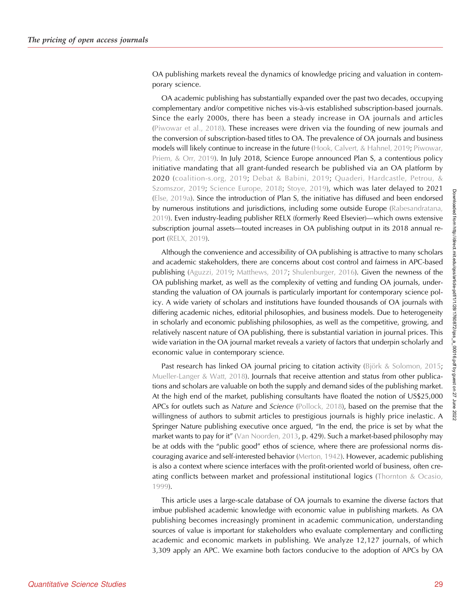OA publishing markets reveal the dynamics of knowledge pricing and valuation in contemporary science.

OA academic publishing has substantially expanded over the past two decades, occupying complementary and/or competitive niches vis-à-vis established subscription-based journals. Since the early 2000s, there has been a steady increase in OA journals and articles ([Piwowar et al., 2018\)](#page-28-0). These increases were driven via the founding of new journals and the conversion of subscription-based titles to OA. The prevalence of OA journals and business models will likely continue to increase in the future ([Hook, Calvert, & Hahnel, 2019](#page-27-0); [Piwowar,](#page-28-0) [Priem, & Orr, 2019\)](#page-28-0). In July 2018, Science Europe announced Plan S, a contentious policy initiative mandating that all grant-funded research be published via an OA platform by 2020 ([coalition-s.org, 2019;](#page-26-0) [Debat & Babini, 2019;](#page-26-0) [Quaderi, Hardcastle, Petrou, &](#page-28-0) [Szomszor, 2019;](#page-28-0) [Science Europe, 2018](#page-28-0); [Stoye, 2019\)](#page-28-0), which was later delayed to 2021 ([Else, 2019a\)](#page-26-0). Since the introduction of Plan S, the initiative has diffused and been endorsed by numerous institutions and jurisdictions, including some outside Europe [\(Rabesandratana,](#page-28-0) [2019\)](#page-28-0). Even industry-leading publisher RELX (formerly Reed Elsevier)—which owns extensive subscription journal assets—touted increases in OA publishing output in its 2018 annual report ([RELX, 2019](#page-28-0)).

Although the convenience and accessibility of OA publishing is attractive to many scholars and academic stakeholders, there are concerns about cost control and fairness in APC-based publishing [\(Aguzzi, 2019;](#page-26-0) [Matthews, 2017](#page-27-0); [Shulenburger, 2016](#page-28-0)). Given the newness of the OA publishing market, as well as the complexity of vetting and funding OA journals, understanding the valuation of OA journals is particularly important for contemporary science policy. A wide variety of scholars and institutions have founded thousands of OA journals with differing academic niches, editorial philosophies, and business models. Due to heterogeneity in scholarly and economic publishing philosophies, as well as the competitive, growing, and relatively nascent nature of OA publishing, there is substantial variation in journal prices. This wide variation in the OA journal market reveals a variety of factors that underpin scholarly and economic value in contemporary science.

Past research has linked OA journal pricing to citation activity [\(Björk & Solomon, 2015](#page-26-0); [Mueller-Langer & Watt, 2018](#page-28-0)). Journals that receive attention and status from other publications and scholars are valuable on both the supply and demand sides of the publishing market. At the high end of the market, publishing consultants have floated the notion of US\$25,000 APCs for outlets such as Nature and Science ([Pollock, 2018\)](#page-28-0), based on the premise that the willingness of authors to submit articles to prestigious journals is highly price inelastic. A Springer Nature publishing executive once argued, "In the end, the price is set by what the market wants to pay for it" ([Van Noorden, 2013](#page-29-0), p. 429). Such a market-based philosophy may be at odds with the "public good" ethos of science, where there are professional norms discouraging avarice and self-interested behavior ([Merton, 1942\)](#page-27-0). However, academic publishing is also a context where science interfaces with the profit-oriented world of business, often creating conflicts between market and professional institutional logics (Thornton  $& Ocasio$ , [1999\)](#page-28-0).

This article uses a large-scale database of OA journals to examine the diverse factors that imbue published academic knowledge with economic value in publishing markets. As OA publishing becomes increasingly prominent in academic communication, understanding sources of value is important for stakeholders who evaluate complementary and conflicting academic and economic markets in publishing. We analyze 12,127 journals, of which 3,309 apply an APC. We examine both factors conducive to the adoption of APCs by OA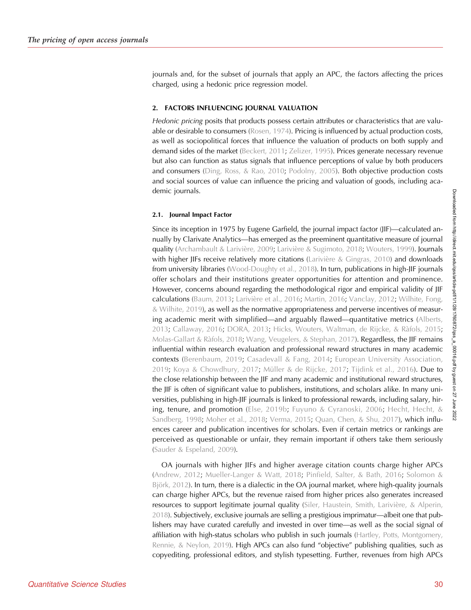journals and, for the subset of journals that apply an APC, the factors affecting the prices charged, using a hedonic price regression model.

#### 2. FACTORS INFLUENCING JOURNAL VALUATION

Hedonic pricing posits that products possess certain attributes or characteristics that are valu-able or desirable to consumers ([Rosen, 1974\)](#page-28-0). Pricing is influenced by actual production costs, as well as sociopolitical forces that influence the valuation of products on both supply and demand sides of the market [\(Beckert, 2011;](#page-26-0) [Zelizer, 1995](#page-29-0)). Prices generate necessary revenue but also can function as status signals that influence perceptions of value by both producers and consumers [\(Ding, Ross, & Rao, 2010;](#page-26-0) [Podolny, 2005](#page-28-0)). Both objective production costs and social sources of value can influence the pricing and valuation of goods, including academic journals.

#### 2.1. Journal Impact Factor

Since its inception in 1975 by Eugene Garfield, the journal impact factor (JIF)—calculated annually by Clarivate Analytics—has emerged as the preeminent quantitative measure of journal quality ([Archambault & Larivière, 2009](#page-26-0); [Larivière & Sugimoto, 2018](#page-27-0); [Wouters, 1999](#page-29-0)). Journals with higher JIFs receive relatively more citations [\(Larivière & Gingras, 2010](#page-27-0)) and downloads from university libraries ([Wood-Doughty et al., 2018](#page-29-0)). In turn, publications in high-JIF journals offer scholars and their institutions greater opportunities for attention and prominence. However, concerns abound regarding the methodological rigor and empirical validity of JIF calculations ([Baum, 2013;](#page-26-0) [Larivière et al., 2016;](#page-27-0) [Martin, 2016;](#page-27-0) [Vanclay, 2012](#page-29-0); [Wilhite, Fong,](#page-29-0) [& Wilhite, 2019\)](#page-29-0), as well as the normative appropriateness and perverse incentives of measuring academic merit with simplified—and arguably flawed—quantitative metrics ([Alberts,](#page-26-0) [2013;](#page-26-0) [Callaway, 2016](#page-26-0); [DORA, 2013;](#page-26-0) [Hicks, Wouters, Waltman, de Rijcke, & Ràfols, 2015](#page-27-0); [Molas-Gallart & Ràfols, 2018](#page-27-0); [Wang, Veugelers, & Stephan, 2017\)](#page-29-0). Regardless, the JIF remains influential within research evaluation and professional reward structures in many academic contexts ([Berenbaum, 2019;](#page-26-0) [Casadevall & Fang, 2014](#page-26-0); [European University Association,](#page-27-0) [2019](#page-27-0); [Koya & Chowdhury, 2017](#page-27-0); [Müller & de Rijcke, 2017;](#page-28-0) [Tijdink et al., 2016](#page-28-0)). Due to the close relationship between the JIF and many academic and institutional reward structures, the JIF is often of significant value to publishers, institutions, and scholars alike. In many universities, publishing in high-JIF journals is linked to professional rewards, including salary, hir-ing, tenure, and promotion [\(Else, 2019b](#page-26-0); [Fuyuno & Cyranoski, 2006;](#page-27-0) [Hecht, Hecht, &](#page-27-0) [Sandberg, 1998](#page-27-0); [Moher et al., 2018](#page-27-0); [Verma, 2015](#page-29-0); [Quan, Chen, & Shu, 2017](#page-28-0)), which influences career and publication incentives for scholars. Even if certain metrics or rankings are perceived as questionable or unfair, they remain important if others take them seriously ([Sauder & Espeland, 2009](#page-28-0)).

OA journals with higher JIFs and higher average citation counts charge higher APCs ([Andrew, 2012;](#page-26-0) [Mueller-Langer & Watt, 2018](#page-28-0); [Pinfield, Salter, & Bath, 2016](#page-28-0); [Solomon &](#page-28-0) [Björk, 2012](#page-28-0)). In turn, there is a dialectic in the OA journal market, where high-quality journals can charge higher APCs, but the revenue raised from higher prices also generates increased resources to support legitimate journal quality ([Siler, Haustein, Smith, Larivière, & Alperin,](#page-28-0) [2018\)](#page-28-0). Subjectively, exclusive journals are selling a prestigious imprimatur—albeit one that publishers may have curated carefully and invested in over time—as well as the social signal of affiliation with high-status scholars who publish in such journals [\(Hartley, Potts, Montgomery,](#page-27-0) Rennie,  $& Neylon, 2019$ . High APCs can also fund "objective" publishing qualities, such as copyediting, professional editors, and stylish typesetting. Further, revenues from high APCs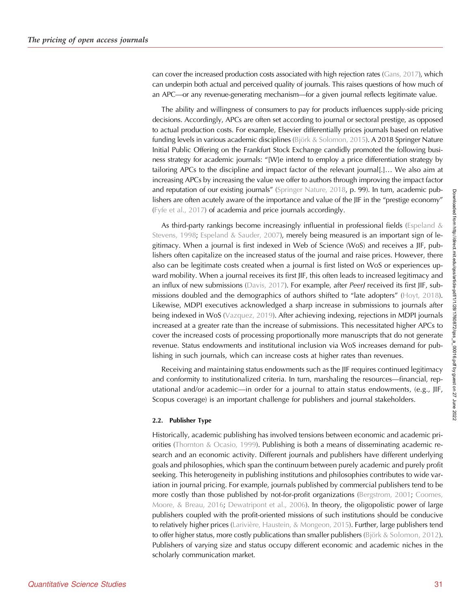can cover the increased production costs associated with high rejection rates [\(Gans, 2017](#page-27-0)), which can underpin both actual and perceived quality of journals. This raises questions of how much of an APC—or any revenue-generating mechanism—for a given journal reflects legitimate value.

The ability and willingness of consumers to pay for products influences supply-side pricing decisions. Accordingly, APCs are often set according to journal or sectoral prestige, as opposed to actual production costs. For example, Elsevier differentially prices journals based on relative funding levels in various academic disciplines ([Björk & Solomon, 2015\)](#page-26-0). A 2018 Springer Nature Initial Public Offering on the Frankfurt Stock Exchange candidly promoted the following business strategy for academic journals: "[W]e intend to employ a price differentiation strategy by tailoring APCs to the discipline and impact factor of the relevant journal[.]… We also aim at increasing APCs by increasing the value we offer to authors through improving the impact factor and reputation of our existing journals" ([Springer Nature, 2018](#page-28-0), p. 99). In turn, academic publishers are often acutely aware of the importance and value of the JIF in the "prestige economy" [\(Fyfe et al., 2017](#page-27-0)) of academia and price journals accordingly.

As third-party rankings become increasingly influential in professional fields (Espeland  $\&$ [Stevens, 1998;](#page-27-0) [Espeland & Sauder, 2007](#page-26-0)), merely being measured is an important sign of legitimacy. When a journal is first indexed in Web of Science (WoS) and receives a JIF, publishers often capitalize on the increased status of the journal and raise prices. However, there also can be legitimate costs created when a journal is first listed on WoS or experiences upward mobility. When a journal receives its first JIF, this often leads to increased legitimacy and an influx of new submissions ([Davis, 2017](#page-26-0)). For example, after PeerJ received its first JIF, submissions doubled and the demographics of authors shifted to "late adopters" ([Hoyt, 2018\)](#page-27-0). Likewise, MDPI executives acknowledged a sharp increase in submissions to journals after being indexed in WoS ([Vazquez, 2019\)](#page-29-0). After achieving indexing, rejections in MDPI journals increased at a greater rate than the increase of submissions. This necessitated higher APCs to cover the increased costs of processing proportionally more manuscripts that do not generate revenue. Status endowments and institutional inclusion via WoS increases demand for publishing in such journals, which can increase costs at higher rates than revenues.

Receiving and maintaining status endowments such as the JIF requires continued legitimacy and conformity to institutionalized criteria. In turn, marshaling the resources—financial, reputational and/or academic—in order for a journal to attain status endowments, (e.g., JIF, Scopus coverage) is an important challenge for publishers and journal stakeholders.

#### 2.2. Publisher Type

Historically, academic publishing has involved tensions between economic and academic priorities ([Thornton & Ocasio, 1999](#page-28-0)). Publishing is both a means of disseminating academic research and an economic activity. Different journals and publishers have different underlying goals and philosophies, which span the continuum between purely academic and purely profit seeking. This heterogeneity in publishing institutions and philosophies contributes to wide variation in journal pricing. For example, journals published by commercial publishers tend to be more costly than those published by not-for-profit organizations ([Bergstrom, 2001](#page-26-0); [Coomes,](#page-26-0) [Moore, & Breau, 2016;](#page-26-0) [Dewatripont et al., 2006](#page-26-0)). In theory, the oligopolistic power of large publishers coupled with the profit-oriented missions of such institutions should be conducive to relatively higher prices [\(Larivière, Haustein, & Mongeon, 2015\)](#page-27-0). Further, large publishers tend to offer higher status, more costly publications than smaller publishers [\(Björk & Solomon, 2012\)](#page-26-0). Publishers of varying size and status occupy different economic and academic niches in the scholarly communication market.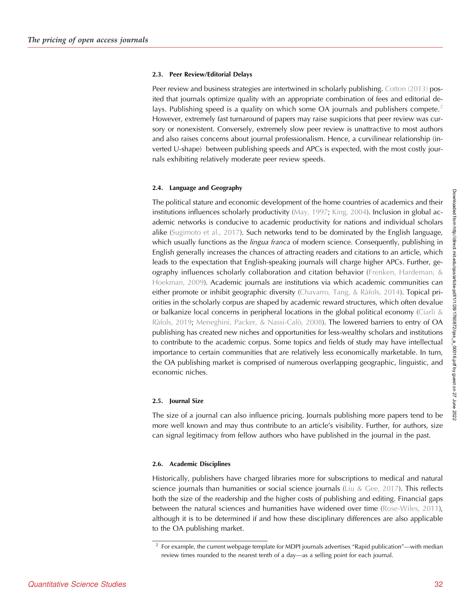#### 2.3. Peer Review/Editorial Delays

Peer review and business strategies are intertwined in scholarly publishing. [Cotton \(2013\)](#page-26-0) posited that journals optimize quality with an appropriate combination of fees and editorial delays. Publishing speed is a quality on which some OA journals and publishers compete.<sup>2</sup> However, extremely fast turnaround of papers may raise suspicions that peer review was cursory or nonexistent. Conversely, extremely slow peer review is unattractive to most authors and also raises concerns about journal professionalism. Hence, a curvilinear relationship (inverted U-shape) between publishing speeds and APCs is expected, with the most costly journals exhibiting relatively moderate peer review speeds.

#### 2.4. Language and Geography

The political stature and economic development of the home countries of academics and their institutions influences scholarly productivity [\(May, 1997](#page-27-0); [King, 2004\)](#page-29-0). Inclusion in global academic networks is conducive to academic productivity for nations and individual scholars alike [\(Sugimoto et al., 2017\)](#page-28-0). Such networks tend to be dominated by the English language, which usually functions as the *lingua franca* of modern science. Consequently, publishing in English generally increases the chances of attracting readers and citations to an article, which leads to the expectation that English-speaking journals will charge higher APCs. Further, geography influences scholarly collaboration and citation behavior [\(Frenken, Hardeman, &](#page-27-0) [Hoekman, 2009](#page-27-0)). Academic journals are institutions via which academic communities can either promote or inhibit geographic diversity [\(Chavarro, Tang, & Ràfols, 2014](#page-26-0)). Topical priorities in the scholarly corpus are shaped by academic reward structures, which often devalue or balkanize local concerns in peripheral locations in the global political economy [\(Ciarli &](#page-26-0) [Ràfols, 2019](#page-26-0); [Meneghini, Packer, & Nassi-Calò, 2008\)](#page-27-0). The lowered barriers to entry of OA publishing has created new niches and opportunities for less-wealthy scholars and institutions to contribute to the academic corpus. Some topics and fields of study may have intellectual importance to certain communities that are relatively less economically marketable. In turn, the OA publishing market is comprised of numerous overlapping geographic, linguistic, and economic niches.

#### 2.5. Journal Size

The size of a journal can also influence pricing. Journals publishing more papers tend to be more well known and may thus contribute to an article's visibility. Further, for authors, size can signal legitimacy from fellow authors who have published in the journal in the past.

#### 2.6. Academic Disciplines

Historically, publishers have charged libraries more for subscriptions to medical and natural science journals than humanities or social science journals (Liu  $&$  Gee, 2017). This reflects both the size of the readership and the higher costs of publishing and editing. Financial gaps between the natural sciences and humanities have widened over time ([Rose-Wiles, 2011\)](#page-28-0), although it is to be determined if and how these disciplinary differences are also applicable to the OA publishing market.

<sup>&</sup>lt;sup>2</sup> For example, the current webpage template for MDPI journals advertises "Rapid publication"—with median review times rounded to the nearest tenth of a day—as a selling point for each journal.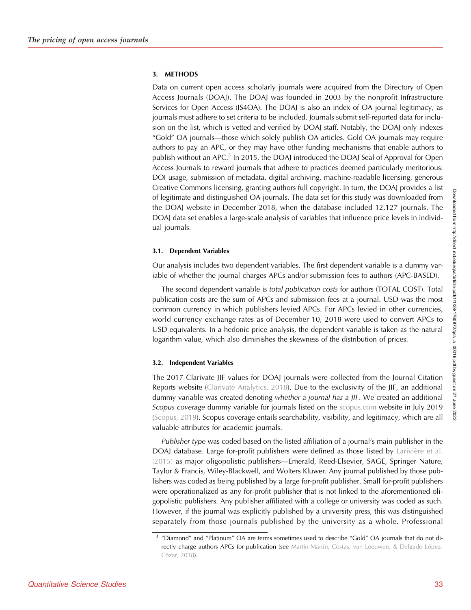### 3. METHODS

Data on current open access scholarly journals were acquired from the Directory of Open Access Journals (DOAJ). The DOAJ was founded in 2003 by the nonprofit Infrastructure Services for Open Access (IS4OA). The DOAJ is also an index of OA journal legitimacy, as journals must adhere to set criteria to be included. Journals submit self-reported data for inclusion on the list, which is vetted and verified by DOAJ staff. Notably, the DOAJ only indexes "Gold" OA journals—those which solely publish OA articles. Gold OA journals may require authors to pay an APC, or they may have other funding mechanisms that enable authors to publish without an APC.<sup>3</sup> In 2015, the DOAJ introduced the DOAJ Seal of Approval for Open Access Journals to reward journals that adhere to practices deemed particularly meritorious: DOI usage, submission of metadata, digital archiving, machine-readable licensing, generous Creative Commons licensing, granting authors full copyright. In turn, the DOAJ provides a list of legitimate and distinguished OA journals. The data set for this study was downloaded from the DOAJ website in December 2018, when the database included 12,127 journals. The DOAJ data set enables a large-scale analysis of variables that influence price levels in individual journals.

### 3.1. Dependent Variables

Our analysis includes two dependent variables. The first dependent variable is a dummy variable of whether the journal charges APCs and/or submission fees to authors (APC-BASED).

The second dependent variable is total publication costs for authors (TOTAL COST). Total publication costs are the sum of APCs and submission fees at a journal. USD was the most common currency in which publishers levied APCs. For APCs levied in other currencies, world currency exchange rates as of December 10, 2018 were used to convert APCs to USD equivalents. In a hedonic price analysis, the dependent variable is taken as the natural logarithm value, which also diminishes the skewness of the distribution of prices.

#### 3.2. Independent Variables

The 2017 Clarivate JIF values for DOAJ journals were collected from the Journal Citation Reports website [\(Clarivate Analytics, 2018\)](#page-26-0). Due to the exclusivity of the JIF, an additional dummy variable was created denoting whether a journal has a JIF. We created an additional Scopus coverage dummy variable for journals listed on the [scopus.com](http://scopus.com) website in July 2019 ([Scopus, 2019\)](#page-28-0). Scopus coverage entails searchability, visibility, and legitimacy, which are all valuable attributes for academic journals.

Publisher type was coded based on the listed affiliation of a journal's main publisher in the DOAJ database. Large for-profit publishers were defined as those listed by [Larivière et al.](#page-27-0) [\(2015\)](#page-27-0) as major oligopolistic publishers—Emerald, Reed-Elsevier, SAGE, Springer Nature, Taylor & Francis, Wiley-Blackwell, and Wolters Kluwer. Any journal published by those publishers was coded as being published by a large for-profit publisher. Small for-profit publishers were operationalized as any for-profit publisher that is not linked to the aforementioned oligopolistic publishers. Any publisher affiliated with a college or university was coded as such. However, if the journal was explicitly published by a university press, this was distinguished separately from those journals published by the university as a whole. Professional

<sup>&</sup>lt;sup>3</sup> "Diamond" and "Platinum" OA are terms sometimes used to describe "Gold" OA journals that do not directly charge authors APCs for publication (see [Martín-Martín, Costas, van Leeuwen, & Delgado López-](#page-27-0)[Cózar, 2018\)](#page-27-0).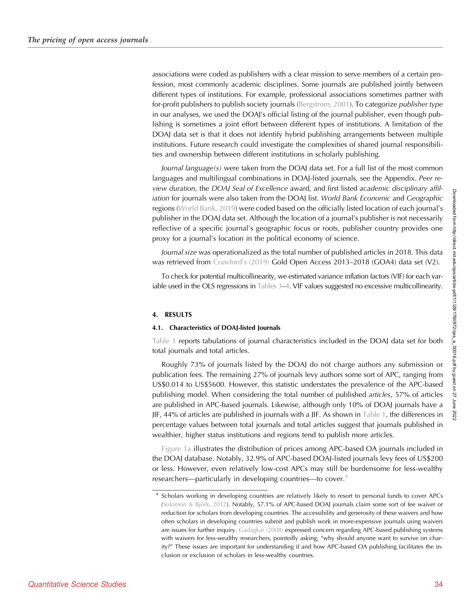associations were coded as publishers with a clear mission to serve members of a certain profession, most commonly academic disciplines. Some journals are published jointly between different types of institutions. For example, professional associations sometimes partner with for-profit publishers to publish society journals [\(Bergstrom, 2001\)](#page-26-0). To categorize publisher type in our analyses, we used the DOAJ's official listing of the journal publisher, even though publishing is sometimes a joint effort between different types of institutions. A limitation of the DOAJ data set is that it does not identify hybrid publishing arrangements between multiple institutions. Future research could investigate the complexities of shared journal responsibilities and ownership between different institutions in scholarly publishing.

Journal language(s) were taken from the DOAJ data set. For a full list of the most common languages and multilingual combinations in DOAJ-listed journals, see the Appendix. Peer review duration, the DOAJ Seal of Excellence award, and first listed academic disciplinary affiliation for journals were also taken from the DOAJ list. World Bank Economic and Geographic regions ([World Bank, 2019\)](#page-29-0) were coded based on the officially listed location of each journal's publisher in the DOAJ data set. Although the location of a journal's publisher is not necessarily reflective of a specific journal's geographic focus or roots, publisher country provides one proxy for a journal's location in the political economy of science.

Journal size was operationalized as the total number of published articles in 2018. This data was retrieved from [Crawford](#page-26-0)'s (2019) Gold Open Access 2013–2018 (GOA4) data set (V2).

To check for potential multicollinearity, we estimated variance inflation factors (VIF) for each variable used in the OLS regressions in [Tables 3](#page-14-0)–[4](#page-17-0). VIF values suggested no excessive multicollinearity.

#### 4. RESULTS

#### 4.1. Characteristics of DOAJ-listed Journals

[Table 1](#page-7-0) reports tabulations of journal characteristics included in the DOAJ data set for both total journals and total articles.

Roughly 73% of journals listed by the DOAJ do not charge authors any submission or publication fees. The remaining 27% of journals levy authors some sort of APC, ranging from US\$0.014 to US\$5600. However, this statistic understates the prevalence of the APC-based publishing model. When considering the total number of published articles, 57% of articles are published in APC-based journals. Likewise, although only 10% of DOAJ journals have a JIF, 44% of articles are published in journals with a JIF. As shown in [Table 1,](#page-7-0) the differences in percentage values between total journals and total articles suggest that journals published in wealthier, higher status institutions and regions tend to publish more articles.

[Figure 1a](#page-9-0) illustrates the distribution of prices among APC-based OA journals included in the DOAJ database. Notably, 32.9% of APC-based DOAJ-listed journals levy fees of US\$200 or less. However, even relatively low-cost APCs may still be burdensome for less-wealthy researchers—particularly in developing countries—to cover.<sup>4</sup>

<sup>4</sup> Scholars working in developing countries are relatively likely to resort to personal funds to cover APCs [\(Solomon & Björk, 2012\)](#page-28-0). Notably, 57.1% of APC-based DOAJ journals claim some sort of fee waiver or reduction for scholars from developing countries. The accessibility and generosity of these waivers and how often scholars in developing countries submit and publish work in more-expensive journals using waivers are issues for further inquiry. [Gadagkar \(2008\)](#page-27-0) expressed concern regarding APC-based publishing systems with waivers for less-wealthy researchers, pointedly asking, "why should anyone want to survive on charity?" These issues are important for understanding if and how APC-based OA publishing facilitates the inclusion or exclusion of scholars in less-wealthy countries.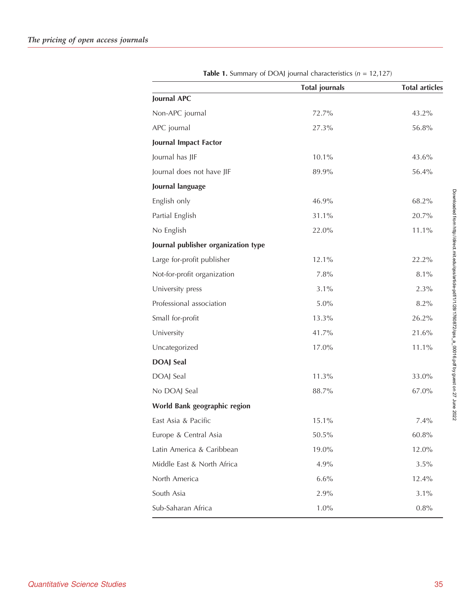<span id="page-7-0"></span>

|                                     | <b>Total journals</b> | <b>Total articles</b> |
|-------------------------------------|-----------------------|-----------------------|
| Journal APC                         |                       |                       |
| Non-APC journal                     | 72.7%                 | 43.2%                 |
| APC journal                         | 27.3%                 | 56.8%                 |
| Journal Impact Factor               |                       |                       |
| Journal has JIF                     | 10.1%                 | 43.6%                 |
| Journal does not have JIF           | 89.9%                 | 56.4%                 |
| Journal language                    |                       |                       |
| English only                        | 46.9%                 | 68.2%                 |
| Partial English                     | 31.1%                 | 20.7%                 |
| No English                          | 22.0%                 | 11.1%                 |
| Journal publisher organization type |                       |                       |
| Large for-profit publisher          | 12.1%                 | 22.2%                 |
| Not-for-profit organization         | 7.8%                  | 8.1%                  |
| University press                    | 3.1%                  | 2.3%                  |
| Professional association            | 5.0%                  | 8.2%                  |
| Small for-profit                    | 13.3%                 | 26.2%                 |
| University                          | 41.7%                 | 21.6%                 |
| Uncategorized                       | 17.0%                 | 11.1%                 |
| <b>DOAJ</b> Seal                    |                       |                       |
| DOAJ Seal                           | 11.3%                 | 33.0%                 |
| No DOAJ Seal                        | 88.7%                 | 67.0%                 |
| World Bank geographic region        |                       |                       |
| East Asia & Pacific                 | 15.1%                 | 7.4%                  |
| Europe & Central Asia               | 50.5%                 | 60.8%                 |
| Latin America & Caribbean           | 19.0%                 | 12.0%                 |
| Middle East & North Africa          | 4.9%                  | 3.5%                  |
| North America                       | 6.6%                  | 12.4%                 |
| South Asia                          | 2.9%                  | 3.1%                  |
| Sub-Saharan Africa                  | 1.0%                  | 0.8%                  |

**Table 1.** Summary of DOAJ journal characteristics ( $n = 12,127$ )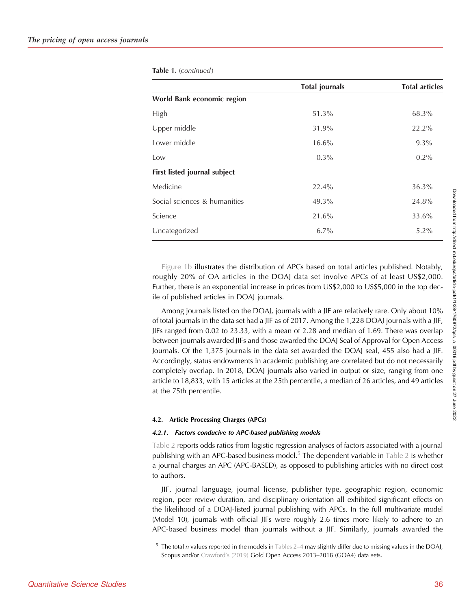| Table 1. (continued) |  |  |
|----------------------|--|--|
|----------------------|--|--|

|                              | <b>Total journals</b> | <b>Total articles</b> |
|------------------------------|-----------------------|-----------------------|
| World Bank economic region   |                       |                       |
| High                         | 51.3%                 | 68.3%                 |
| Upper middle                 | 31.9%                 | 22.2%                 |
| Lower middle                 | $16.6\%$              | $9.3\%$               |
| Low                          | $0.3\%$               | $0.2\%$               |
| First listed journal subject |                       |                       |
| Medicine                     | 22.4%                 | 36.3%                 |
| Social sciences & humanities | 49.3%                 | 24.8%                 |
| Science                      | 21.6%                 | 33.6%                 |
| Uncategorized                | $6.7\%$               | $5.2\%$               |

[Figure 1b](#page-20-0) illustrates the distribution of APCs based on total articles published. Notably, roughly 20% of OA articles in the DOAJ data set involve APCs of at least US\$2,000. Further, there is an exponential increase in prices from US\$2,000 to US\$5,000 in the top decile of published articles in DOAJ journals.

Among journals listed on the DOAJ, journals with a JIF are relatively rare. Only about 10% of total journals in the data set had a JIF as of 2017. Among the 1,228 DOAJ journals with a JIF, JIFs ranged from 0.02 to 23.33, with a mean of 2.28 and median of 1.69. There was overlap between journals awarded JIFs and those awarded the DOAJ Seal of Approval for Open Access Journals. Of the 1,375 journals in the data set awarded the DOAJ seal, 455 also had a JIF. Accordingly, status endowments in academic publishing are correlated but do not necessarily completely overlap. In 2018, DOAJ journals also varied in output or size, ranging from one article to 18,833, with 15 articles at the 25th percentile, a median of 26 articles, and 49 articles at the 75th percentile.

#### 4.2. Article Processing Charges (APCs)

#### 4.2.1. Factors conducive to APC-based publishing models

[Table 2](#page-10-0) reports odds ratios from logistic regression analyses of factors associated with a journal publishing with an APC-based business model.<sup>5</sup> The dependent variable in [Table 2](#page-10-0) is whether a journal charges an APC (APC-BASED), as opposed to publishing articles with no direct cost to authors.

JIF, journal language, journal license, publisher type, geographic region, economic region, peer review duration, and disciplinary orientation all exhibited significant effects on the likelihood of a DOAJ-listed journal publishing with APCs. In the full multivariate model (Model 10), journals with official JIFs were roughly 2.6 times more likely to adhere to an APC-based business model than journals without a JIF. Similarly, journals awarded the

 $5$  The total n values reported in the models in [Tables 2](#page-10-0)–[4](#page-17-0) may slightly differ due to missing values in the DOAJ, Scopus and/or [Crawford](#page-26-0)'s (2019) Gold Open Access 2013–2018 (GOA4) data sets.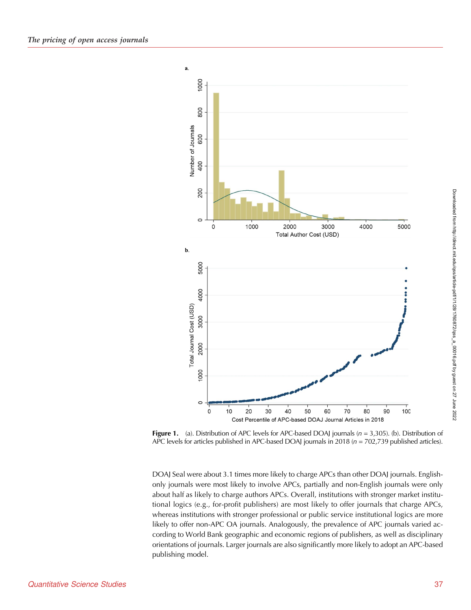<span id="page-9-0"></span>

Figure 1. (a). Distribution of APC levels for APC-based DOAJ journals ( $n = 3,305$ ). (b). Distribution of APC levels for articles published in APC-based DOAJ journals in 2018 ( $n = 702,739$  published articles).

DOAJ Seal were about 3.1 times more likely to charge APCs than other DOAJ journals. Englishonly journals were most likely to involve APCs, partially and non-English journals were only about half as likely to charge authors APCs. Overall, institutions with stronger market institutional logics (e.g., for-profit publishers) are most likely to offer journals that charge APCs, whereas institutions with stronger professional or public service institutional logics are more likely to offer non-APC OA journals. Analogously, the prevalence of APC journals varied according to World Bank geographic and economic regions of publishers, as well as disciplinary orientations of journals. Larger journals are also significantly more likely to adopt an APC-based publishing model.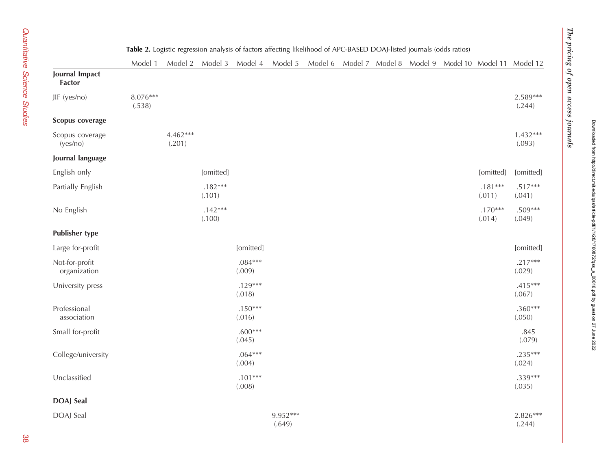<span id="page-10-0"></span>

|                                 | Model 1            | Model 2            | Model 3             | Model 4             | $\circ$<br>Model 5 | Model 6 | Model 7 |  | Model 8 Model 9 Model 10 Model 11 Model 12 |                      |
|---------------------------------|--------------------|--------------------|---------------------|---------------------|--------------------|---------|---------|--|--------------------------------------------|----------------------|
| Journal Impact<br><b>Factor</b> |                    |                    |                     |                     |                    |         |         |  |                                            |                      |
| JIF (yes/no)                    | 8.076***<br>(.538) |                    |                     |                     |                    |         |         |  |                                            | 2.589***<br>(.244)   |
| Scopus coverage                 |                    |                    |                     |                     |                    |         |         |  |                                            |                      |
| Scopus coverage<br>(yes/no)     |                    | 4.462***<br>(.201) |                     |                     |                    |         |         |  |                                            | $1.432***$<br>(.093) |
| Journal language                |                    |                    |                     |                     |                    |         |         |  |                                            |                      |
| English only                    |                    |                    | [omitted]           |                     |                    |         |         |  | [omitted]                                  | [omitted]            |
| Partially English               |                    |                    | $.182***$<br>(.101) |                     |                    |         |         |  | $.181***$<br>(.011)                        | $.517***$<br>(.041)  |
| No English                      |                    |                    | $.142***$<br>(.100) |                     |                    |         |         |  | $.170***$<br>(.014)                        | .509***<br>(.049)    |
| <b>Publisher type</b>           |                    |                    |                     |                     |                    |         |         |  |                                            |                      |
| Large for-profit                |                    |                    |                     | [omitted]           |                    |         |         |  |                                            | [omitted]            |
| Not-for-profit<br>organization  |                    |                    |                     | $.084***$<br>(.009) |                    |         |         |  |                                            | $.217***$<br>(.029)  |
| University press                |                    |                    |                     | $.129***$<br>(.018) |                    |         |         |  |                                            | $.415***$<br>(.067)  |
| Professional<br>association     |                    |                    |                     | $.150***$<br>(.016) |                    |         |         |  |                                            | $.360***$<br>(.050)  |
| Small for-profit                |                    |                    |                     | $.600***$<br>(.045) |                    |         |         |  |                                            | .845<br>(.079)       |
| College/university              |                    |                    |                     | $.064***$<br>(.004) |                    |         |         |  |                                            | $.235***$<br>(.024)  |
| Unclassified                    |                    |                    |                     | $.101***$<br>(.008) |                    |         |         |  |                                            | $.339***$<br>(.035)  |
| <b>DOAJ</b> Seal                |                    |                    |                     |                     |                    |         |         |  |                                            |                      |
| DOAJ Seal                       |                    |                    |                     |                     | 9.952***<br>(.649) |         |         |  |                                            | $2.826***$<br>(.244) |

#### Table 2. Logistic regression analysis of factors affecting likelihood of APC-BASED DOAJ-listed journals (odds ratios)

 $T$  pricing of open access  $T$ 

The pricing of open access journals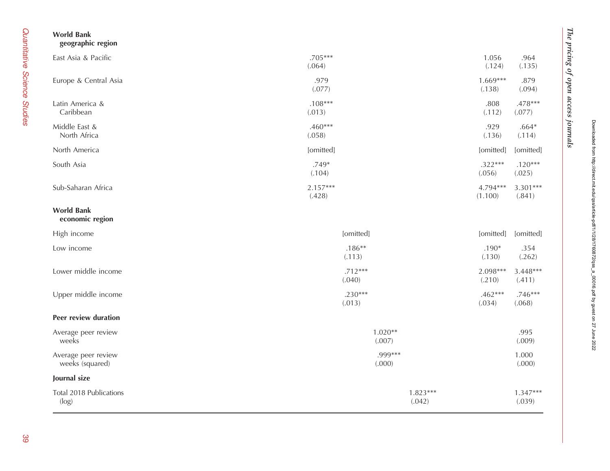| <b>World Bank</b><br>geographic region |                      |                      |                      |                      |
|----------------------------------------|----------------------|----------------------|----------------------|----------------------|
| East Asia & Pacific                    | $.705***$<br>(.064)  |                      | 1.056<br>(.124)      | .964<br>(.135)       |
| Europe & Central Asia                  | .979<br>(.077)       |                      | $1.669***$<br>(.138) | .879<br>(.094)       |
| Latin America &<br>Caribbean           | $.108***$<br>(.013)  |                      | .808<br>(.112)       | .478***<br>(.077)    |
| Middle East &<br>North Africa          | $.460***$<br>(.058)  |                      | .929<br>(.136)       | $.664*$<br>(.114)    |
| North America                          | [omitted]            |                      | [omitted]            | [omitted]            |
| South Asia                             | $.749*$<br>(.104)    |                      | $.322***$<br>(.056)  | $.120***$<br>(.025)  |
| Sub-Saharan Africa                     | $2.157***$<br>(.428) |                      | 4.794***<br>(1.100)  | $3.301***$<br>(.841) |
| <b>World Bank</b><br>economic region   |                      |                      |                      |                      |
| High income                            | [omitted]            |                      | [omitted]            | [omitted]            |
| Low income                             | $.186**$<br>(.113)   |                      | $.190*$<br>(.130)    | .354<br>(.262)       |
| Lower middle income                    | $.712***$<br>(.040)  |                      | 2.098***<br>(.210)   | $3.448***$<br>(.411) |
| Upper middle income                    | $.230***$<br>(.013)  |                      | $.462***$<br>(.034)  | $.746***$<br>(.068)  |
| Peer review duration                   |                      |                      |                      |                      |
| Average peer review<br>weeks           | $1.020**$<br>(.007)  |                      |                      | .995<br>(.009)       |
| Average peer review<br>weeks (squared) | .999***<br>(.000)    |                      |                      | 1.000<br>(.000)      |
| Journal size                           |                      |                      |                      |                      |
| Total 2018 Publications<br>(log)       |                      | $1.823***$<br>(.042) |                      | $1.347***$<br>(.039) |

Downloaded from http://direct.mit.edu/qss/article-pdf/1/1/28/1760872/qss\_a\_00016.pdf by guest on 27 June 2022

 $T$  pricing of open access  $T$ 

The pricing of open access journals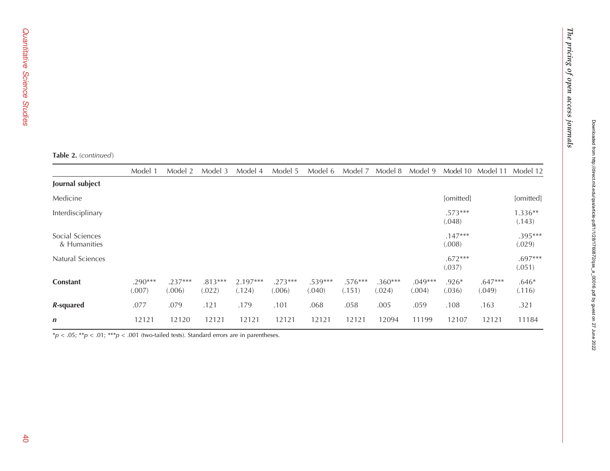$T$  pricing of open access  $T$ 

The pricing of open access journals

|  | <b>Table 2.</b> (continued) |
|--|-----------------------------|
|--|-----------------------------|

|                                 | Model 1           | Model 2             | Model 3             | Model 4            | Model 5             | Model 6             | Model 7             | Model 8             | Model 9             | Model 10            | Model 11            | Model 12            |
|---------------------------------|-------------------|---------------------|---------------------|--------------------|---------------------|---------------------|---------------------|---------------------|---------------------|---------------------|---------------------|---------------------|
| Journal subject                 |                   |                     |                     |                    |                     |                     |                     |                     |                     |                     |                     |                     |
| Medicine                        |                   |                     |                     |                    |                     |                     |                     |                     |                     | [omitted]           |                     | [omitted]           |
| Interdisciplinary               |                   |                     |                     |                    |                     |                     |                     |                     |                     | $.573***$<br>(.048) |                     | 1.336**<br>(.143)   |
| Social Sciences<br>& Humanities |                   |                     |                     |                    |                     |                     |                     |                     |                     | $.147***$<br>(.008) |                     | .395***<br>(.029)   |
| Natural Sciences                |                   |                     |                     |                    |                     |                     |                     |                     |                     | $.672***$<br>(.037) |                     | $.697***$<br>(.051) |
| <b>Constant</b>                 | .290***<br>(.007) | $.237***$<br>(.006) | $.813***$<br>(.022) | 2.197***<br>(.124) | $.273***$<br>(.006) | $.539***$<br>(.040) | $.576***$<br>(.151) | $.360***$<br>(.024) | $.049***$<br>(.004) | $.926*$<br>(.036)   | $.647***$<br>(.049) | $.646*$<br>(.116)   |
| R-squared                       | .077              | .079                | .121                | .179               | .101                | .068                | .058                | .005                | .059                | .108                | .163                | .321                |
| $\boldsymbol{n}$                | 12121             | 12120               | 12121               | 12121              | 12121               | 12121               | 12121               | 12094               | 11199               | 12107               | 12121               | 11184               |

 $*p < .05; **p < .01; ***p < .001$  (two-tailed tests). Standard errors are in parentheses.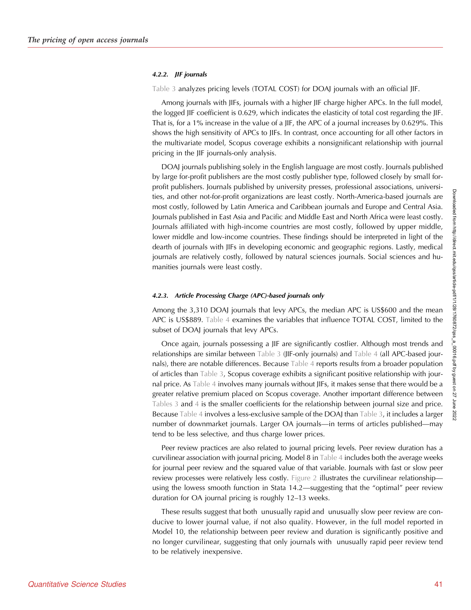#### 4.2.2. JIF journals

[Table 3](#page-14-0) analyzes pricing levels (TOTAL COST) for DOAJ journals with an official JIF.

Among journals with JIFs, journals with a higher JIF charge higher APCs. In the full model, the logged JIF coefficient is 0.629, which indicates the elasticity of total cost regarding the JIF. That is, for a 1% increase in the value of a JIF, the APC of a journal increases by 0.629%. This shows the high sensitivity of APCs to JIFs. In contrast, once accounting for all other factors in the multivariate model, Scopus coverage exhibits a nonsignificant relationship with journal pricing in the JIF journals-only analysis.

DOAJ journals publishing solely in the English language are most costly. Journals published by large for-profit publishers are the most costly publisher type, followed closely by small forprofit publishers. Journals published by university presses, professional associations, universities, and other not-for-profit organizations are least costly. North-America-based journals are most costly, followed by Latin America and Caribbean journals and Europe and Central Asia. Journals published in East Asia and Pacific and Middle East and North Africa were least costly. Journals affiliated with high-income countries are most costly, followed by upper middle, lower middle and low-income countries. These findings should be interpreted in light of the dearth of journals with JIFs in developing economic and geographic regions. Lastly, medical journals are relatively costly, followed by natural sciences journals. Social sciences and humanities journals were least costly.

#### 4.2.3. Article Processing Charge (APC)-based journals only

Among the 3,310 DOAJ journals that levy APCs, the median APC is US\$600 and the mean APC is US\$889. [Table 4](#page-17-0) examines the variables that influence TOTAL COST, limited to the subset of DOAJ journals that levy APCs.

Once again, journals possessing a JIF are significantly costlier. Although most trends and relationships are similar between [Table 3](#page-14-0) (JIF-only journals) and [Table 4](#page-17-0) (all APC-based journals), there are notable differences. Because [Table 4](#page-17-0) reports results from a broader population of articles than [Table 3,](#page-14-0) Scopus coverage exhibits a significant positive relationship with journal price. As [Table 4](#page-17-0) involves many journals without JIFs, it makes sense that there would be a greater relative premium placed on Scopus coverage. Another important difference between [Tables 3](#page-14-0) and [4](#page-17-0) is the smaller coefficients for the relationship between journal size and price. Because [Table 4](#page-17-0) involves a less-exclusive sample of the DOAJ than [Table 3,](#page-14-0) it includes a larger number of downmarket journals. Larger OA journals—in terms of articles published—may tend to be less selective, and thus charge lower prices.

Peer review practices are also related to journal pricing levels. Peer review duration has a curvilinear association with journal pricing. Model 8 in [Table 4](#page-17-0) includes both the average weeks for journal peer review and the squared value of that variable. Journals with fast or slow peer review processes were relatively less costly. [Figure 2](#page-20-0) illustrates the curvilinear relationship using the lowess smooth function in Stata 14.2—suggesting that the "optimal" peer review duration for OA journal pricing is roughly 12–13 weeks.

These results suggest that both unusually rapid and unusually slow peer review are conducive to lower journal value, if not also quality. However, in the full model reported in Model 10, the relationship between peer review and duration is significantly positive and no longer curvilinear, suggesting that only journals with unusually rapid peer review tend to be relatively inexpensive.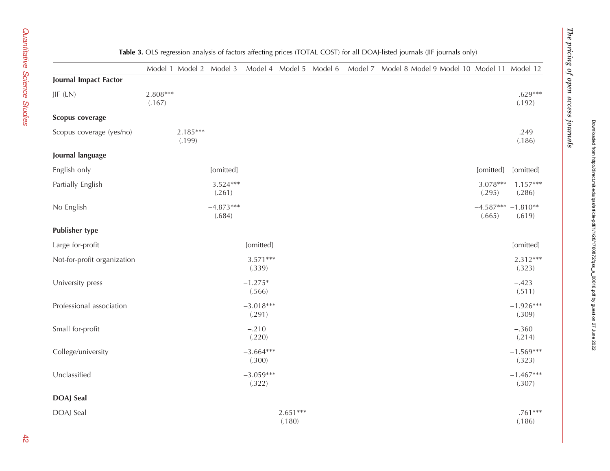<span id="page-14-0"></span>

|                             |                      |                      | Model 1 Model 2 Model 3 |                       |                      |  | Model 4 Model 5 Model 6 Model 7 Model 8 Model 9 Model 10 Model 11 Model 12 |                                  |                                 |
|-----------------------------|----------------------|----------------------|-------------------------|-----------------------|----------------------|--|----------------------------------------------------------------------------|----------------------------------|---------------------------------|
| Journal Impact Factor       |                      |                      |                         |                       |                      |  |                                                                            |                                  |                                 |
| JIF (LN)                    | $2.808***$<br>(.167) |                      |                         |                       |                      |  |                                                                            |                                  | $.629***$<br>(.192)             |
| Scopus coverage             |                      |                      |                         |                       |                      |  |                                                                            |                                  |                                 |
| Scopus coverage (yes/no)    |                      | $2.185***$<br>(.199) |                         |                       |                      |  |                                                                            |                                  | .249<br>(.186)                  |
| Journal language            |                      |                      |                         |                       |                      |  |                                                                            |                                  |                                 |
| English only                |                      |                      | [omitted]               |                       |                      |  |                                                                            | [omitted]                        | [omitted]                       |
| Partially English           |                      |                      | $-3.524***$<br>(.261)   |                       |                      |  |                                                                            | (.295)                           | $-3.078***$ -1.157***<br>(.286) |
| No English                  |                      |                      | $-4.873***$<br>(.684)   |                       |                      |  |                                                                            | $-4.587***$ $-1.810**$<br>(.665) | (.619)                          |
| <b>Publisher type</b>       |                      |                      |                         |                       |                      |  |                                                                            |                                  |                                 |
| Large for-profit            |                      |                      |                         | [omitted]             |                      |  |                                                                            |                                  | [omitted]                       |
| Not-for-profit organization |                      |                      |                         | $-3.571***$<br>(.339) |                      |  |                                                                            |                                  | $-2.312***$<br>(.323)           |
| University press            |                      |                      |                         | $-1.275*$<br>(.566)   |                      |  |                                                                            |                                  | $-.423$<br>(.511)               |
| Professional association    |                      |                      |                         | $-3.018***$<br>(.291) |                      |  |                                                                            |                                  | $-1.926***$<br>(.309)           |
| Small for-profit            |                      |                      |                         | $-.210$<br>(.220)     |                      |  |                                                                            |                                  | $-.360$<br>(.214)               |
| College/university          |                      |                      |                         | $-3.664***$<br>(.300) |                      |  |                                                                            |                                  | $-1.569***$<br>(.323)           |
| Unclassified                |                      |                      |                         | $-3.059***$<br>(.322) |                      |  |                                                                            |                                  | $-1.467***$<br>(.307)           |
| <b>DOAJ</b> Seal            |                      |                      |                         |                       |                      |  |                                                                            |                                  |                                 |
| DOAJ Seal                   |                      |                      |                         |                       | $2.651***$<br>(.180) |  |                                                                            |                                  | $.761***$<br>(.186)             |

#### **Table 3.** OLS regression analysis of factors affecting prices (TOTAL COST) for all DOAJ-listed journals (JIF journals only)

 $T$  pricing of open access  $T$ 

The pricing of open access journals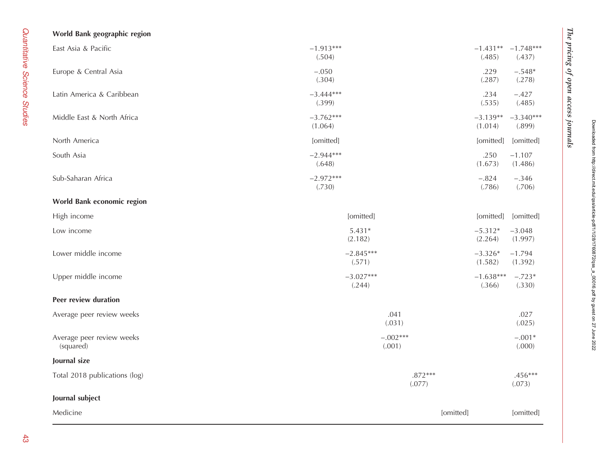| World Bank geographic region           |                        |                       |                                   |
|----------------------------------------|------------------------|-----------------------|-----------------------------------|
| East Asia & Pacific                    | $-1.913***$<br>(.504)  | (.485)                | $-1.431***$ $-1.748***$<br>(.437) |
| Europe & Central Asia                  | $-.050$<br>(.304)      | .229<br>(.287)        | $-.548*$<br>(.278)                |
| Latin America & Caribbean              | $-3.444***$<br>(.399)  | .234<br>(.535)        | $-.427$<br>(.485)                 |
| Middle East & North Africa             | $-3.762***$<br>(1.064) | $-3.139**$<br>(1.014) | $-3.340***$<br>(.899)             |
| North America                          | [omitted]              | [omitted]             | [omitted]                         |
| South Asia                             | $-2.944***$<br>(.648)  | .250<br>(1.673)       | $-1.107$<br>(1.486)               |
| Sub-Saharan Africa                     | $-2.972***$<br>(.730)  | $-.824$<br>(.786)     | $-.346$<br>(.706)                 |
| World Bank economic region             |                        |                       |                                   |
| High income                            | [omitted]              | [omitted]             | [omitted]                         |
| Low income                             | $5.431*$<br>(2.182)    | $-5.312*$<br>(2.264)  | $-3.048$<br>(1.997)               |
| Lower middle income                    | $-2.845***$<br>(.571)  | $-3.326*$<br>(1.582)  | $-1.794$<br>(1.392)               |
| Upper middle income                    | $-3.027***$<br>(.244)  | $-1.638***$<br>(.366) | $-.723*$<br>(.330)                |
| Peer review duration                   |                        |                       |                                   |
| Average peer review weeks              | .041<br>(.031)         |                       | .027<br>(.025)                    |
| Average peer review weeks<br>(squared) | $-.002***$<br>(.001)   |                       | $-.001*$<br>(.000)                |
| Journal size                           |                        |                       |                                   |
| Total 2018 publications (log)          | $.872***$<br>(.077)    |                       | $.456***$<br>(.073)               |
| Journal subject                        |                        |                       |                                   |
| Medicine                               |                        | [omitted]             | [omitted]                         |

 $T$  pricing of open access  $T$ 

The pricing of open access journals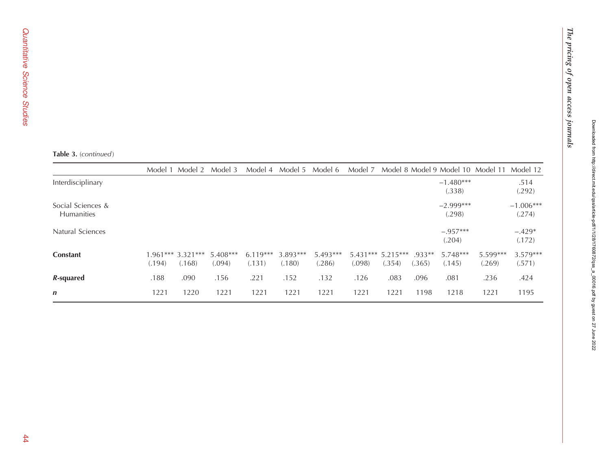|                                        | Model 1 | Model 2 Model 3              |                      | Model 4              | Model 5              | Model 6            | Model 7                       |        |                    | Model 8 Model 9 Model 10 Model 11 |                    | Model 12              |
|----------------------------------------|---------|------------------------------|----------------------|----------------------|----------------------|--------------------|-------------------------------|--------|--------------------|-----------------------------------|--------------------|-----------------------|
| Interdisciplinary                      |         |                              |                      |                      |                      |                    |                               |        |                    | $-1.480***$<br>(.338)             |                    | .514<br>(.292)        |
| Social Sciences &<br><b>Humanities</b> |         |                              |                      |                      |                      |                    |                               |        |                    | $-2.999***$<br>(.298)             |                    | $-1.006***$<br>(.274) |
| Natural Sciences                       |         |                              |                      |                      |                      |                    |                               |        |                    | $-.957***$<br>(.204)              |                    | $-.429*$<br>(.172)    |
| <b>Constant</b>                        | (.194)  | $1.961***3.321***$<br>(.168) | $5.408***$<br>(.094) | $6.119***$<br>(.131) | $3.893***$<br>(.180) | 5.493***<br>(.286) | $5.431***$ 5.215***<br>(.098) | (.354) | $.933**$<br>(.365) | 5.748***<br>(.145)                | 5.599***<br>(.269) | $3.579***$<br>(.571)  |
| R-squared                              | .188    | .090                         | .156                 | .221                 | .152                 | .132               | .126                          | .083   | .096               | .081                              | .236               | .424                  |
| $\mathbf n$                            | 1221    | 1220                         | 1221                 | 1221                 | 1221                 | 1221               | 1221                          | 1221   | 1198               | 1218                              | 1221               | 1195                  |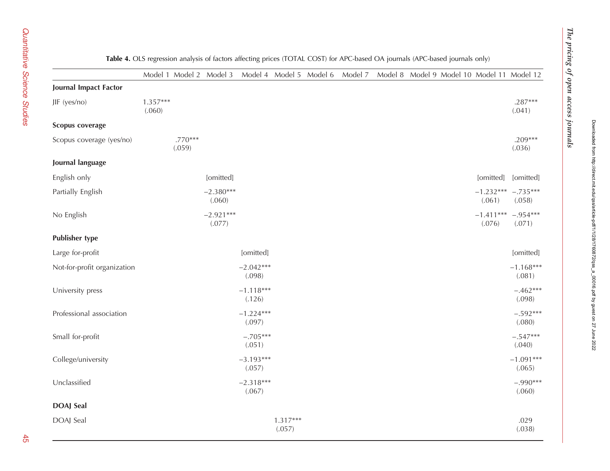Downloaded from http://direct.mit.edu/qss/article-pdf/1/1/28/1760872/qss\_a\_00016.pdf by guest on 27 June 2022

Downloaded from http://direct.mit.edu/qss/article-pdf11/1/28/1760872/qss\_a\_00016.pdf by guest on 27 June 2022

<span id="page-17-0"></span>

|                             |                      |                     | Table 4. OLS regression analysis of factors affecting prices (TOTAL COST) for APC-based OA journals (APC-based journals only) |                       |                      |                         |         |  |                                            |                                  |                       |
|-----------------------------|----------------------|---------------------|-------------------------------------------------------------------------------------------------------------------------------|-----------------------|----------------------|-------------------------|---------|--|--------------------------------------------|----------------------------------|-----------------------|
|                             |                      |                     | Model 1 Model 2 Model 3                                                                                                       |                       |                      | Model 4 Model 5 Model 6 | Model 7 |  | Model 8 Model 9 Model 10 Model 11 Model 12 |                                  |                       |
| Journal Impact Factor       |                      |                     |                                                                                                                               |                       |                      |                         |         |  |                                            |                                  |                       |
| JIF (yes/no)                | $1.357***$<br>(.060) |                     |                                                                                                                               |                       |                      |                         |         |  |                                            |                                  | $.287***$<br>(.041)   |
| Scopus coverage             |                      |                     |                                                                                                                               |                       |                      |                         |         |  |                                            |                                  |                       |
| Scopus coverage (yes/no)    |                      | $.770***$<br>(.059) |                                                                                                                               |                       |                      |                         |         |  |                                            |                                  | $.209***$<br>(.036)   |
| Journal language            |                      |                     |                                                                                                                               |                       |                      |                         |         |  |                                            |                                  |                       |
| English only                |                      |                     | [omitted]                                                                                                                     |                       |                      |                         |         |  |                                            | [omitted]                        | [omitted]             |
| Partially English           |                      |                     | $-2.380***$<br>(.060)                                                                                                         |                       |                      |                         |         |  |                                            | $-1.232***$ $-.735***$<br>(.061) | (.058)                |
| No English                  |                      |                     | $-2.921***$<br>(.077)                                                                                                         |                       |                      |                         |         |  |                                            | $-1.411***$<br>(.076)            | $-.954***$<br>(.071)  |
| <b>Publisher type</b>       |                      |                     |                                                                                                                               |                       |                      |                         |         |  |                                            |                                  |                       |
| Large for-profit            |                      |                     |                                                                                                                               | [omitted]             |                      |                         |         |  |                                            |                                  | [omitted]             |
| Not-for-profit organization |                      |                     |                                                                                                                               | $-2.042***$<br>(.098) |                      |                         |         |  |                                            |                                  | $-1.168***$<br>(.081) |
| University press            |                      |                     |                                                                                                                               | $-1.118***$<br>(.126) |                      |                         |         |  |                                            |                                  | $-.462***$<br>(.098)  |
| Professional association    |                      |                     |                                                                                                                               | $-1.224***$<br>(.097) |                      |                         |         |  |                                            |                                  | $-.592***$<br>(.080)  |
| Small for-profit            |                      |                     |                                                                                                                               | $-.705***$<br>(.051)  |                      |                         |         |  |                                            |                                  | $-.547***$<br>(.040)  |
| College/university          |                      |                     |                                                                                                                               | $-3.193***$<br>(.057) |                      |                         |         |  |                                            |                                  | $-1.091***$<br>(.065) |
| Unclassified                |                      |                     |                                                                                                                               | $-2.318***$<br>(.067) |                      |                         |         |  |                                            |                                  | $-.990***$<br>(.060)  |
| <b>DOAJ</b> Seal            |                      |                     |                                                                                                                               |                       |                      |                         |         |  |                                            |                                  |                       |
| DOAJ Seal                   |                      |                     |                                                                                                                               |                       | $1.317***$<br>(.057) |                         |         |  |                                            |                                  | .029<br>(.038)        |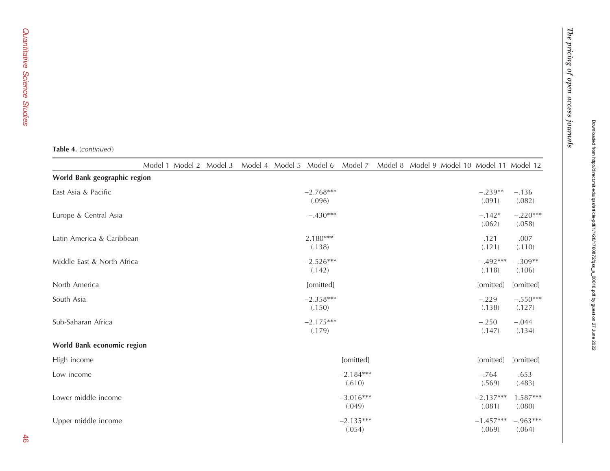#### **Table 4.** (continued)

|                              | Model 1 Model 2 Model 3 |  | Model 4 Model 5 Model 6 |                       | Model 7               |  | Model 8 Model 9 Model 10 Model 11 Model 12 |                      |
|------------------------------|-------------------------|--|-------------------------|-----------------------|-----------------------|--|--------------------------------------------|----------------------|
| World Bank geographic region |                         |  |                         |                       |                       |  |                                            |                      |
| East Asia & Pacific          |                         |  |                         | $-2.768***$<br>(.096) |                       |  | $-.239**$<br>(.091)                        | $-.136$<br>(.082)    |
| Europe & Central Asia        |                         |  |                         | $-.430***$            |                       |  | $-.142*$<br>(.062)                         | $-.220***$<br>(.058) |
| Latin America & Caribbean    |                         |  |                         | $2.180***$<br>(.138)  |                       |  | .121<br>(.121)                             | .007<br>(.110)       |
| Middle East & North Africa   |                         |  |                         | $-2.526***$<br>(.142) |                       |  | $-.492***$<br>(.118)                       | $-.309**$<br>(.106)  |
| North America                |                         |  |                         | [omitted]             |                       |  | [omitted]                                  | [omitted]            |
| South Asia                   |                         |  |                         | $-2.358***$<br>(.150) |                       |  | $-.229$<br>(.138)                          | $-.550***$<br>(.127) |
| Sub-Saharan Africa           |                         |  |                         | $-2.175***$<br>(.179) |                       |  | $-.250$<br>(.147)                          | $-.044$<br>(.134)    |
| World Bank economic region   |                         |  |                         |                       |                       |  |                                            |                      |
| High income                  |                         |  |                         |                       | [omitted]             |  | [omitted]                                  | [omitted]            |
| Low income                   |                         |  |                         |                       | $-2.184***$<br>(.610) |  | $-.764$<br>(.569)                          | $-.653$<br>(.483)    |
| Lower middle income          |                         |  |                         |                       | $-3.016***$<br>(.049) |  | $-2.137***$<br>(.081)                      | $1.587***$<br>(.080) |
| Upper middle income          |                         |  |                         |                       | $-2.135***$<br>(.054) |  | $-1.457***$<br>(.069)                      | $-.963***$<br>(.064) |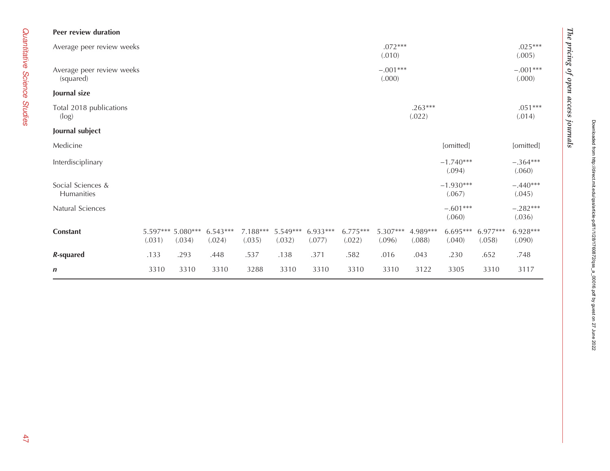| Peer review duration                   |        |                             |                      |                      |                      |                      |                      |                      |                     |                       |                      |                      |
|----------------------------------------|--------|-----------------------------|----------------------|----------------------|----------------------|----------------------|----------------------|----------------------|---------------------|-----------------------|----------------------|----------------------|
| Average peer review weeks              |        |                             |                      |                      |                      |                      |                      | $.072***$<br>(.010)  |                     |                       |                      | $.025***$<br>(.005)  |
| Average peer review weeks<br>(squared) |        |                             |                      |                      |                      |                      |                      | $-.001***$<br>(.000) |                     |                       |                      | $-.001***$<br>(.000) |
| Journal size                           |        |                             |                      |                      |                      |                      |                      |                      |                     |                       |                      |                      |
| Total 2018 publications<br>(log)       |        |                             |                      |                      |                      |                      |                      |                      | $.263***$<br>(.022) |                       |                      | $.051***$<br>(.014)  |
| Journal subject                        |        |                             |                      |                      |                      |                      |                      |                      |                     |                       |                      |                      |
| Medicine                               |        |                             |                      |                      |                      |                      |                      |                      |                     | [omitted]             |                      | [omitted]            |
| Interdisciplinary                      |        |                             |                      |                      |                      |                      |                      |                      |                     | $-1.740***$<br>(.094) |                      | $-.364***$<br>(.060) |
| Social Sciences &<br>Humanities        |        |                             |                      |                      |                      |                      |                      |                      |                     | $-1.930***$<br>(.067) |                      | $-.440***$<br>(.045) |
| Natural Sciences                       |        |                             |                      |                      |                      |                      |                      |                      |                     | $-.601***$<br>(.060)  |                      | $-.282***$<br>(.036) |
| <b>Constant</b>                        | (.031) | 5.597*** 5.080***<br>(.034) | $6.543***$<br>(.024) | $7.188***$<br>(.035) | $5.549***$<br>(.032) | $6.933***$<br>(.077) | $6.775***$<br>(.022) | 5.307***<br>(.096)   | 4.989***<br>(.088)  | $6.695***$<br>(.040)  | $6.977***$<br>(.058) | $6.928***$<br>(.090) |
| R-squared                              | .133   | .293                        | .448                 | .537                 | .138                 | .371                 | .582                 | .016                 | .043                | .230                  | .652                 | .748                 |
| $\boldsymbol{n}$                       | 3310   | 3310                        | 3310                 | 3288                 | 3310                 | 3310                 | 3310                 | 3310                 | 3122                | 3305                  | 3310                 | 3117                 |

 $T$  pricing of open access  $T$ 

The pricing of open access journals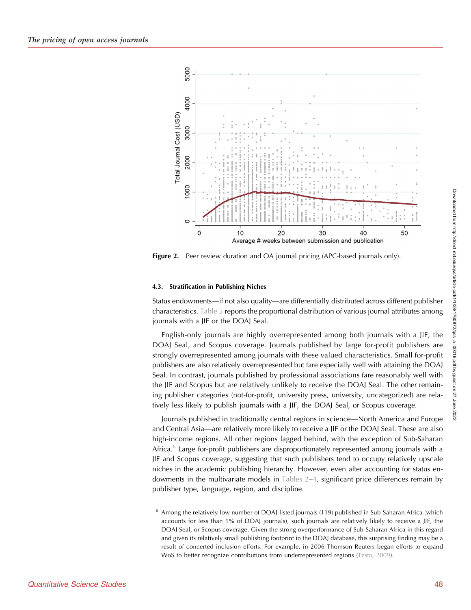<span id="page-20-0"></span>

**Figure 2.** Peer review duration and OA journal pricing (APC-based journals only).

# 4.3. Stratification in Publishing Niches

Status endowments—if not also quality—are differentially distributed across different publisher characteristics. [Table 5](#page-21-0) reports the proportional distribution of various journal attributes among journals with a JIF or the DOAJ Seal.

English-only journals are highly overrepresented among both journals with a JIF, the DOAJ Seal, and Scopus coverage. Journals published by large for-profit publishers are strongly overrepresented among journals with these valued characteristics. Small for-profit publishers are also relatively overrepresented but fare especially well with attaining the DOAJ Seal. In contrast, journals published by professional associations fare reasonably well with the JIF and Scopus but are relatively unlikely to receive the DOAJ Seal. The other remaining publisher categories (not-for-profit, university press, university, uncategorized) are relatively less likely to publish journals with a JIF, the DOAJ Seal, or Scopus coverage.

Journals published in traditionally central regions in science—North America and Europe and Central Asia—are relatively more likely to receive a JIF or the DOAJ Seal. These are also high-income regions. All other regions lagged behind, with the exception of Sub-Saharan Africa. $6$  Large for-profit publishers are disproportionately represented among journals with a JIF and Scopus coverage, suggesting that such publishers tend to occupy relatively upscale niches in the academic publishing hierarchy. However, even after accounting for status endowments in the multivariate models in [Tables 2](#page-10-0)–[4,](#page-17-0) significant price differences remain by publisher type, language, region, and discipline.

<sup>6</sup> Among the relatively low number of DOAJ-listed journals (119) published in Sub-Saharan Africa (which accounts for less than 1% of DOAJ journals), such journals are relatively likely to receive a JIF, the DOAJ Seal, or Scopus coverage. Given the strong overperformance of Sub-Saharan Africa in this regard and given its relatively small publishing footprint in the DOAJ database, this surprising finding may be a result of concerted inclusion efforts. For example, in 2006 Thomson Reuters began efforts to expand WoS to better recognize contributions from underrepresented regions ([Testa, 2009\)](#page-28-0).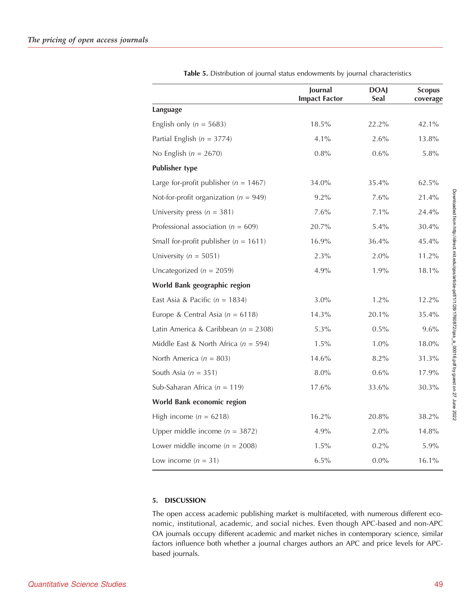<span id="page-21-0"></span>

|                                           | Journal<br><b>Impact Factor</b> | <b>DOAJ</b><br>Seal | <b>Scopus</b><br>coverage |
|-------------------------------------------|---------------------------------|---------------------|---------------------------|
| Language                                  |                                 |                     |                           |
| English only ( $n = 5683$ )               | 18.5%                           | 22.2%               | 42.1%                     |
| Partial English ( $n = 3774$ )            | 4.1%                            | 2.6%                | 13.8%                     |
| No English ( $n = 2670$ )                 | 0.8%                            | 0.6%                | 5.8%                      |
| <b>Publisher type</b>                     |                                 |                     |                           |
| Large for-profit publisher ( $n = 1467$ ) | 34.0%                           | 35.4%               | 62.5%                     |
| Not-for-profit organization ( $n = 949$ ) | 9.2%                            | 7.6%                | 21.4%                     |
| University press ( $n = 381$ )            | 7.6%                            | 7.1%                | 24.4%                     |
| Professional association ( $n = 609$ )    | 20.7%                           | 5.4%                | 30.4%                     |
| Small for-profit publisher ( $n = 1611$ ) | 16.9%                           | 36.4%               | 45.4%                     |
| University ( $n = 5051$ )                 | 2.3%                            | 2.0%                | 11.2%                     |
| Uncategorized ( $n = 2059$ )              | 4.9%                            | 1.9%                | 18.1%                     |
| World Bank geographic region              |                                 |                     |                           |
| East Asia & Pacific ( $n = 1834$ )        | 3.0%                            | 1.2%                | 12.2%                     |
| Europe & Central Asia ( $n = 6118$ )      | 14.3%                           | 20.1%               | 35.4%                     |
| Latin America & Caribbean ( $n = 2308$ )  | 5.3%                            | 0.5%                | 9.6%                      |
| Middle East & North Africa ( $n = 594$ )  | 1.5%                            | 1.0%                | 18.0%                     |
| North America ( $n = 803$ )               | 14.6%                           | 8.2%                | 31.3%                     |
| South Asia ( $n = 351$ )                  | 8.0%                            | $0.6\%$             | 17.9%                     |
| Sub-Saharan Africa ( $n = 119$ )          | 17.6%                           | 33.6%               | 30.3%                     |
| World Bank economic region                |                                 |                     |                           |
| High income ( $n = 6218$ )                | 16.2%                           | 20.8%               | 38.2%                     |
| Upper middle income ( $n = 3872$ )        | 4.9%                            | 2.0%                | 14.8%                     |
| Lower middle income ( $n = 2008$ )        | 1.5%                            | $0.2\%$             | 5.9%                      |
| Low income $(n = 31)$                     | 6.5%                            | $0.0\%$             | 16.1%                     |

Table 5. Distribution of journal status endowments by journal characteristics

# 5. DISCUSSION

The open access academic publishing market is multifaceted, with numerous different economic, institutional, academic, and social niches. Even though APC-based and non-APC OA journals occupy different academic and market niches in contemporary science, similar factors influence both whether a journal charges authors an APC and price levels for APCbased journals.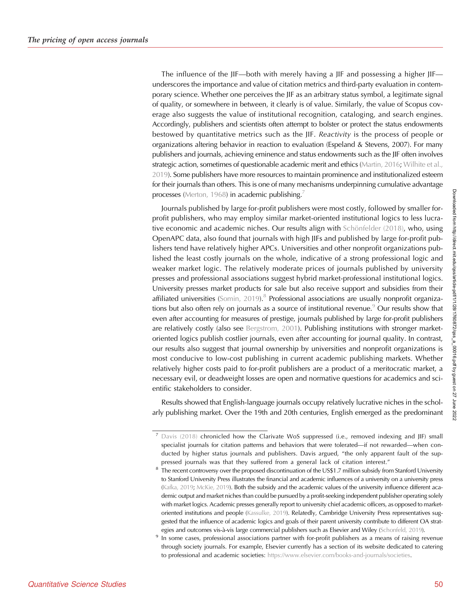The influence of the JIF—both with merely having a JIF and possessing a higher JIF underscores the importance and value of citation metrics and third-party evaluation in contemporary science. Whether one perceives the JIF as an arbitrary status symbol, a legitimate signal of quality, or somewhere in between, it clearly is of value. Similarly, the value of Scopus coverage also suggests the value of institutional recognition, cataloging, and search engines. Accordingly, publishers and scientists often attempt to bolster or protect the status endowments bestowed by quantitative metrics such as the JIF. Reactivity is the process of people or organizations altering behavior in reaction to evaluation (Espeland & Stevens, 2007). For many publishers and journals, achieving eminence and status endowments such as the JIF often involves strategic action, sometimes of questionable academic merit and ethics [\(Martin, 2016](#page-27-0); [Wilhite et al.,](#page-29-0) [2019](#page-29-0)). Some publishers have more resources to maintain prominence and institutionalized esteem for their journals than others. This is one of many mechanisms underpinning cumulative advantage processes [\(Merton, 1968\)](#page-27-0) in academic publishing.<sup>7</sup>

Journals published by large for-profit publishers were most costly, followed by smaller forprofit publishers, who may employ similar market-oriented institutional logics to less lucrative economic and academic niches. Our results align with [Schönfelder \(2018\),](#page-28-0) who, using OpenAPC data, also found that journals with high JIFs and published by large for-profit publishers tend have relatively higher APCs. Universities and other nonprofit organizations published the least costly journals on the whole, indicative of a strong professional logic and weaker market logic. The relatively moderate prices of journals published by university presses and professional associations suggest hybrid market-professional institutional logics. University presses market products for sale but also receive support and subsidies from their affiliated universities ([Somin, 2019](#page-28-0)).<sup>8</sup> Professional associations are usually nonprofit organizations but also often rely on journals as a source of institutional revenue.<sup>9</sup> Our results show that even after accounting for measures of prestige, journals published by large for-profit publishers are relatively costly (also see [Bergstrom, 2001](#page-26-0)). Publishing institutions with stronger marketoriented logics publish costlier journals, even after accounting for journal quality. In contrast, our results also suggest that journal ownership by universities and nonprofit organizations is most conducive to low-cost publishing in current academic publishing markets. Whether relatively higher costs paid to for-profit publishers are a product of a meritocratic market, a necessary evil, or deadweight losses are open and normative questions for academics and scientific stakeholders to consider.

Results showed that English-language journals occupy relatively lucrative niches in the scholarly publishing market. Over the 19th and 20th centuries, English emerged as the predominant

<sup>7</sup> [Davis \(2018\)](#page-26-0) chronicled how the Clarivate WoS suppressed (i.e., removed indexing and JIF) small specialist journals for citation patterns and behaviors that were tolerated—if not rewarded—when conducted by higher status journals and publishers. Davis argued, "the only apparent fault of the suppressed journals was that they suffered from a general lack of citation interest."

<sup>&</sup>lt;sup>8</sup> The recent controversy over the proposed discontinuation of the US\$1.7 million subsidy from Stanford University to Stanford University Press illustrates the financial and academic influences of a university on a university press ([Kafka, 2019](#page-27-0); [McKie, 2019](#page-27-0)). Both the subsidy and the academic values of the university influence different academic output and market niches than could be pursued by a profit-seeking independent publisher operating solely with market logics. Academic presses generally report to university chief academic officers, as opposed to marketoriented institutions and people [\(Kassulke, 2019](#page-27-0)). Relatedly, Cambridge University Press representatives suggested that the influence of academic logics and goals of their parent university contribute to different OA strategies and outcomes vis-à-vis large commercial publishers such as Elsevier and Wiley ([Schonfeld, 2019\)](#page-28-0).

In some cases, professional associations partner with for-profit publishers as a means of raising revenue through society journals. For example, Elsevier currently has a section of its website dedicated to catering to professional and academic societies: [https://www.elsevier.com/books-and-journals/societies.](https://www.elsevier.com/books-and-journals/societies)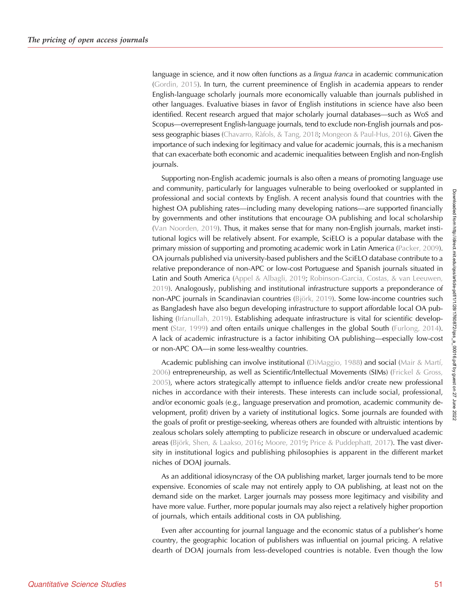language in science, and it now often functions as a *lingua franca* in academic communication ([Gordin, 2015\)](#page-27-0). In turn, the current preeminence of English in academia appears to render English-language scholarly journals more economically valuable than journals published in other languages. Evaluative biases in favor of English institutions in science have also been identified. Recent research argued that major scholarly journal databases—such as WoS and Scopus—overrepresent English-language journals, tend to exclude non-English journals and pos-sess geographic biases ([Chavarro, Ràfols, & Tang, 2018](#page-26-0); [Mongeon & Paul-Hus, 2016](#page-28-0)). Given the importance of such indexing for legitimacy and value for academic journals, this is a mechanism that can exacerbate both economic and academic inequalities between English and non-English journals.

Supporting non-English academic journals is also often a means of promoting language use and community, particularly for languages vulnerable to being overlooked or supplanted in professional and social contexts by English. A recent analysis found that countries with the highest OA publishing rates—including many developing nations—are supported financially by governments and other institutions that encourage OA publishing and local scholarship ([Van Noorden, 2019\)](#page-29-0). Thus, it makes sense that for many non-English journals, market institutional logics will be relatively absent. For example, SciELO is a popular database with the primary mission of supporting and promoting academic work in Latin America ([Packer, 2009\)](#page-28-0). OA journals published via university-based publishers and the SciELO database contribute to a relative preponderance of non-APC or low-cost Portuguese and Spanish journals situated in Latin and South America [\(Appel & Albagli, 2019](#page-26-0); [Robinson-Garcia, Costas, & van Leeuwen,](#page-28-0) [2019](#page-28-0)). Analogously, publishing and institutional infrastructure supports a preponderance of non-APC journals in Scandinavian countries ([Björk, 2019\)](#page-26-0). Some low-income countries such as Bangladesh have also begun developing infrastructure to support affordable local OA publishing ([Irfanullah, 2019](#page-27-0)). Establishing adequate infrastructure is vital for scientific development ([Star, 1999](#page-28-0)) and often entails unique challenges in the global South [\(Furlong, 2014\)](#page-27-0). A lack of academic infrastructure is a factor inhibiting OA publishing—especially low-cost or non-APC OA—in some less-wealthy countries.

Academic publishing can involve institutional ([DiMaggio, 1988](#page-26-0)) and social ([Mair & Martí,](#page-27-0) [2006\)](#page-27-0) entrepreneurship, as well as Scientific/Intellectual Movements (SIMs) [\(Frickel & Gross,](#page-27-0) [2005](#page-27-0)), where actors strategically attempt to influence fields and/or create new professional niches in accordance with their interests. These interests can include social, professional, and/or economic goals (e.g., language preservation and promotion, academic community development, profit) driven by a variety of institutional logics. Some journals are founded with the goals of profit or prestige-seeking, whereas others are founded with altruistic intentions by zealous scholars solely attempting to publicize research in obscure or undervalued academic areas [\(Björk, Shen, & Laakso, 2016;](#page-26-0) [Moore, 2019](#page-28-0); [Price & Puddephatt, 2017](#page-28-0)). The vast diversity in institutional logics and publishing philosophies is apparent in the different market niches of DOAJ journals.

As an additional idiosyncrasy of the OA publishing market, larger journals tend to be more expensive. Economies of scale may not entirely apply to OA publishing, at least not on the demand side on the market. Larger journals may possess more legitimacy and visibility and have more value. Further, more popular journals may also reject a relatively higher proportion of journals, which entails additional costs in OA publishing.

Even after accounting for journal language and the economic status of a publisher's home country, the geographic location of publishers was influential on journal pricing. A relative dearth of DOAJ journals from less-developed countries is notable. Even though the low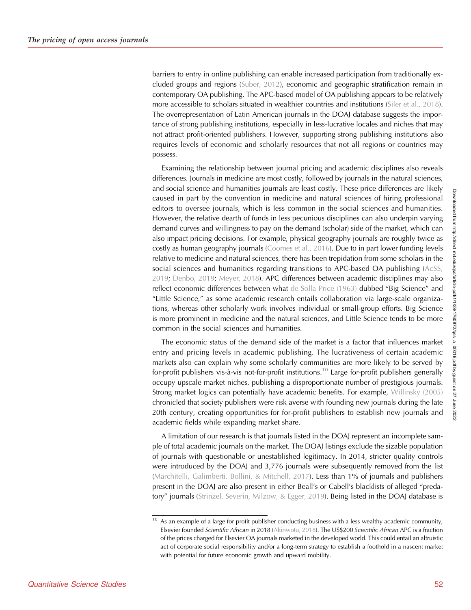barriers to entry in online publishing can enable increased participation from traditionally excluded groups and regions ([Suber, 2012\)](#page-28-0), economic and geographic stratification remain in contemporary OA publishing. The APC-based model of OA publishing appears to be relatively more accessible to scholars situated in wealthier countries and institutions [\(Siler et al., 2018\)](#page-28-0). The overrepresentation of Latin American journals in the DOAJ database suggests the importance of strong publishing institutions, especially in less-lucrative locales and niches that may not attract profit-oriented publishers. However, supporting strong publishing institutions also requires levels of economic and scholarly resources that not all regions or countries may possess.

Examining the relationship between journal pricing and academic disciplines also reveals differences. Journals in medicine are most costly, followed by journals in the natural sciences, and social science and humanities journals are least costly. These price differences are likely caused in part by the convention in medicine and natural sciences of hiring professional editors to oversee journals, which is less common in the social sciences and humanities. However, the relative dearth of funds in less pecunious disciplines can also underpin varying demand curves and willingness to pay on the demand (scholar) side of the market, which can also impact pricing decisions. For example, physical geography journals are roughly twice as costly as human geography journals ([Coomes et al., 2016\)](#page-26-0). Due to in part lower funding levels relative to medicine and natural sciences, there has been trepidation from some scholars in the social sciences and humanities regarding transitions to APC-based OA publishing [\(AcSS,](#page-26-0) [2019;](#page-26-0) [Denbo, 2019](#page-26-0); [Meyer, 2018](#page-27-0)). APC differences between academic disciplines may also reflect economic differences between what [de Solla Price \(1963\)](#page-26-0) dubbed "Big Science" and "Little Science," as some academic research entails collaboration via large-scale organizations, whereas other scholarly work involves individual or small-group efforts. Big Science is more prominent in medicine and the natural sciences, and Little Science tends to be more common in the social sciences and humanities.

The economic status of the demand side of the market is a factor that influences market entry and pricing levels in academic publishing. The lucrativeness of certain academic markets also can explain why some scholarly communities are more likely to be served by for-profit publishers vis-à-vis not-for-profit institutions.<sup>10</sup> Large for-profit publishers generally occupy upscale market niches, publishing a disproportionate number of prestigious journals. Strong market logics can potentially have academic benefits. For example, [Willinsky \(2005\)](#page-29-0) chronicled that society publishers were risk averse with founding new journals during the late 20th century, creating opportunities for for-profit publishers to establish new journals and academic fields while expanding market share.

A limitation of our research is that journals listed in the DOAJ represent an incomplete sample of total academic journals on the market. The DOAJ listings exclude the sizable population of journals with questionable or unestablished legitimacy. In 2014, stricter quality controls were introduced by the DOAJ and 3,776 journals were subsequently removed from the list ([Marchitelli, Galimberti, Bollini, & Mitchell, 2017](#page-27-0)). Less than 1% of journals and publishers present in the DOAJ are also present in either Beall's or Cabell's blacklists of alleged "predatory" journals ([Strinzel, Severin, Milzow, & Egger, 2019\)](#page-28-0). Being listed in the DOAJ database is

 $10$  As an example of a large for-profit publisher conducting business with a less-wealthy academic community, Elsevier founded Scientific African in 2018 ([Akinwotu, 2018\)](#page-26-0). The US\$200 Scientific African APC is a fraction of the prices charged for Elsevier OA journals marketed in the developed world. This could entail an altruistic act of corporate social responsibility and/or a long-term strategy to establish a foothold in a nascent market with potential for future economic growth and upward mobility.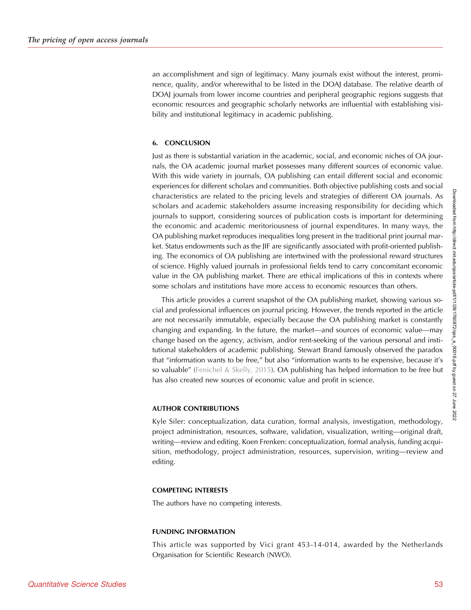an accomplishment and sign of legitimacy. Many journals exist without the interest, prominence, quality, and/or wherewithal to be listed in the DOAJ database. The relative dearth of DOAJ journals from lower income countries and peripheral geographic regions suggests that economic resources and geographic scholarly networks are influential with establishing visibility and institutional legitimacy in academic publishing.

#### 6. CONCLUSION

Just as there is substantial variation in the academic, social, and economic niches of OA journals, the OA academic journal market possesses many different sources of economic value. With this wide variety in journals, OA publishing can entail different social and economic experiences for different scholars and communities. Both objective publishing costs and social characteristics are related to the pricing levels and strategies of different OA journals. As scholars and academic stakeholders assume increasing responsibility for deciding which journals to support, considering sources of publication costs is important for determining the economic and academic meritoriousness of journal expenditures. In many ways, the OA publishing market reproduces inequalities long present in the traditional print journal market. Status endowments such as the JIF are significantly associated with profit-oriented publishing. The economics of OA publishing are intertwined with the professional reward structures of science. Highly valued journals in professional fields tend to carry concomitant economic value in the OA publishing market. There are ethical implications of this in contexts where some scholars and institutions have more access to economic resources than others.

This article provides a current snapshot of the OA publishing market, showing various social and professional influences on journal pricing. However, the trends reported in the article are not necessarily immutable, especially because the OA publishing market is constantly changing and expanding. In the future, the market—and sources of economic value—may change based on the agency, activism, and/or rent-seeking of the various personal and institutional stakeholders of academic publishing. Stewart Brand famously observed the paradox that "information wants to be free," but also "information wants to be expensive, because it's so valuable" [\(Fenichel & Skelly, 2015\)](#page-27-0). OA publishing has helped information to be free but has also created new sources of economic value and profit in science.

#### AUTHOR CONTRIBUTIONS

Kyle Siler: conceptualization, data curation, formal analysis, investigation, methodology, project administration, resources, software, validation, visualization, writing—original draft, writing—review and editing. Koen Frenken: conceptualization, formal analysis, funding acquisition, methodology, project administration, resources, supervision, writing—review and editing.

#### COMPETING INTERESTS

The authors have no competing interests.

#### FUNDING INFORMATION

This article was supported by Vici grant 453-14-014, awarded by the Netherlands Organisation for Scientific Research (NWO).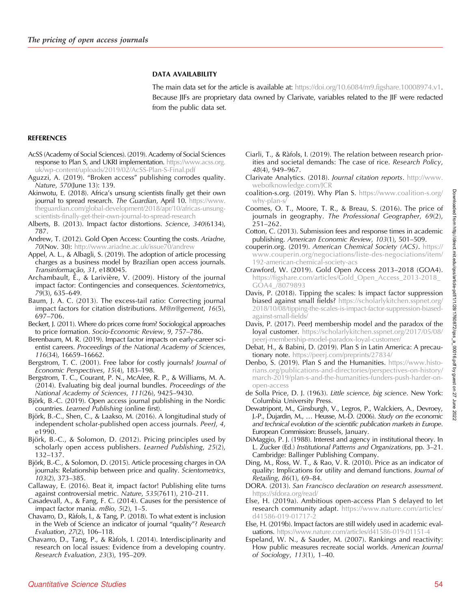# DATA AVAILABILITY

The main data set for the article is available at: <https://doi.org/10.6084/m9.figshare.10008974.v1>. Because JIFs are proprietary data owned by Clarivate, variables related to the JIF were redacted from the public data set.

# <span id="page-26-0"></span>REFERENCES

- AcSS (Academy of Social Sciences). (2019). Academy of Social Sciences response to Plan S, and UKRI implementation. [https://www.acss.org.](https://www.acss.org.uk/wp-content/uploads/2019/02/AcSS-Plan-S-Final.pdf) [uk/wp-content/uploads/2019/02/AcSS-Plan-S-Final.pdf](https://www.acss.org.uk/wp-content/uploads/2019/02/AcSS-Plan-S-Final.pdf)
- Aguzzi, A. (2019). "Broken access" publishing corrodes quality. Nature, 570(June 13): 139.
- Akinwotu, E. (2018). Africa's unsung scientists finally get their own journal to spread research. The Guardian, April 10. [https://www.](https://www.theguardian.com/global-development/2018/apr/10/africas-unsung-scientists-finally-get-their-own-journal-to-spread-research) [theguardian.com/global-development/2018/apr/10/africas-unsung](https://www.theguardian.com/global-development/2018/apr/10/africas-unsung-scientists-finally-get-their-own-journal-to-spread-research)[scientists-finally-get-their-own-journal-to-spread-research](https://www.theguardian.com/global-development/2018/apr/10/africas-unsung-scientists-finally-get-their-own-journal-to-spread-research)
- Alberts, B. (2013). Impact factor distortions. Science, 340(6134), 787.
- Andrew, T. (2012). Gold Open Access: Counting the costs. Ariadne, 70(Nov. 30): <http://www.ariadne.ac.uk/issue70/andrew>
- Appel, A. L., & Albagli, S. (2019). The adoption of article processing charges as a business model by Brazilian open access journals. Transinformação, 31, e180045.
- Archambault, É., & Larivière, V. (2009). History of the journal impact factor: Contingencies and consequences. Scientometrics, 79(3), 635–649.
- Baum, J. A. C. (2013). The excess-tail ratio: Correcting journal impact factors for citation distributions. M@n@gement, 16(5), 697–706.
- Beckert, J. (2011). Where do prices come from? Sociological approaches to price formation. Socio-Economic Review, 9, 757–786.
- Berenbaum, M. R. (2019). Impact factor impacts on early-career scientist careers. Proceedings of the National Academy of Sciences, 116(34), 16659–16662.
- Bergstrom, T. C. (2001). Free labor for costly journals? Journal of Economic Perspectives, 15(4), 183–198.
- Bergstrom, T. C., Courant, P. N., McAfee, R. P., & Williams, M. A. (2014). Evaluating big deal journal bundles. Proceedings of the National Academy of Sciences, 111(26), 9425–9430.
- Björk, B.-C. (2019). Open access journal publishing in the Nordic countries. Learned Publishing (online first).
- Björk, B.-C., Shen, C., & Laakso, M. (2016). A longitudinal study of independent scholar-published open access journals. PeerJ, 4, e1990.
- Björk, B.-C., & Solomon, D. (2012). Pricing principles used by scholarly open access publishers. Learned Publishing, 25(2), 132–137.
- Björk, B.-C., & Solomon, D. (2015). Article processing charges in OA journals: Relationship between price and quality. Scientometrics, 103(2), 373–385.
- Callaway, E. (2016). Beat it, impact factor! Publishing elite turns against controversial metric. Nature, 535(7611), 210–211.
- Casadevall, A., & Fang, F. C. (2014). Causes for the persistence of impact factor mania. mBio, 5(2), 1–5.
- Chavarro, D., Ràfols, I., & Tang, P. (2018). To what extent is inclusion in the Web of Science an indicator of journal "quality"? Research Evaluation, 27(2), 106–118.
- Chavarro, D., Tang, P., & Ràfols, I. (2014). Interdisciplinarity and research on local issues: Evidence from a developing country. Research Evaluation, 23(3), 195–209.
- Ciarli, T., & Ràfols, I. (2019). The relation between research priorities and societal demands: The case of rice. Research Policy, 48(4), 949–967.
- Clarivate Analytics. (2018). Journal citation reports. [http://www.](http://www.webofknowledge.com/JCR) [webofknowledge.com/JCR](http://www.webofknowledge.com/JCR)
- coalition-s.org. (2019). Why Plan S. [https://www.coalition-s.org/](https://www.coalition-s.org/why-plan-s/) [why-plan-s/](https://www.coalition-s.org/why-plan-s/)
- Coomes, O. T., Moore, T. R., & Breau, S. (2016). The price of journals in geography. The Professional Geographer, 69(2), 251–262.
- Cotton, C. (2013). Submission fees and response times in academic publishing. American Economic Review, 103(1), 501–509.
- couperin.org. (2019). American Chemical Society (ACS). [https://](https://www.couperin.org/negociations/liste-des-negociations/item/192-american-chemical-society-acs) [www.couperin.org/negociations/liste-des-negociations/item/](https://www.couperin.org/negociations/liste-des-negociations/item/192-american-chemical-society-acs) [192-american-chemical-society-acs](https://www.couperin.org/negociations/liste-des-negociations/item/192-american-chemical-society-acs)
- Crawford, W. (2019). Gold Open Access 2013–2018 (GOA4). [https://figshare.com/articles/Gold\\_Open\\_Access\\_2013-2018\\_](https://figshare.com/articles/Gold_Open_Access_2013-2018_GOA4_/8079893) [GOA4\\_/8079893](https://figshare.com/articles/Gold_Open_Access_2013-2018_GOA4_/8079893)
- Davis, P. (2018). Tipping the scales: Is impact factor suppression biased against small fields? [https://scholarlykitchen.sspnet.org/](https://scholarlykitchen.sspnet.org/2017/05/08/peerj-membership-model-paradox-loyal-customer/) [2018/10/08/tipping-the-scales-is-impact-factor-suppression-biased](https://scholarlykitchen.sspnet.org/2017/05/08/peerj-membership-model-paradox-loyal-customer/)[against-small-fields/](https://scholarlykitchen.sspnet.org/2017/05/08/peerj-membership-model-paradox-loyal-customer/)
- Davis, P. (2017). PeerJ membership model and the paradox of the loyal customer. [https://scholarlykitchen.sspnet.org/2017/05/08/](https://scholarlykitchen.sspnet.org/2018/10/08/tipping-the-scales-is-impact-factor-suppression-biased-against-small-fields/) [peerj-membership-model-paradox-loyal-customer/](https://scholarlykitchen.sspnet.org/2018/10/08/tipping-the-scales-is-impact-factor-suppression-biased-against-small-fields/)
- Debat, H., & Babini, D. (2019). Plan S in Latin America: A precautionary note. <https://peerj.com/preprints/27834/>
- Denbo, S. (2019). Plan S and the Humanities. [https://www.histo](https://www.historians.org/publications-and-directories/perspectives-on-history/march-2019/plan-s-and-the-humanities-funders-push-harder-on-open-access)[rians.org/publications-and-directories/perspectives-on-history/](https://www.historians.org/publications-and-directories/perspectives-on-history/march-2019/plan-s-and-the-humanities-funders-push-harder-on-open-access) [march-2019/plan-s-and-the-humanities-funders-push-harder-on](https://www.historians.org/publications-and-directories/perspectives-on-history/march-2019/plan-s-and-the-humanities-funders-push-harder-on-open-access)[open-access](https://www.historians.org/publications-and-directories/perspectives-on-history/march-2019/plan-s-and-the-humanities-funders-push-harder-on-open-access)
- de Solla Price, D. J. (1963). Little science, big science. New York: Columbia University Press.
- Dewatripont, M., Ginsburgh, V., Legros, P., Walckiers, A., Devroey, J.-P., Dujardin, M., … Heusse, M.-D. (2006). Study on the economic and technical evolution of the scientific publication markets in Europe. European Commission: Brussels, January.
- DiMaggio, P. J. (1988). Interest and agency in institutional theory. In L. Zucker (Ed.) Institutional Patterns and Organizations, pp. 3–21. Cambridge: Ballinger Publishing Company.
- Ding, M., Ross, W. T., & Rao, V. R. (2010). Price as an indicator of quality: Implications for utility and demand functions. Journal of Retailing, 86(1), 69–84.
- DORA. (2013). San Francisco declaration on research assessment. <https://sfdora.org/read/>
- Else, H. (2019a). Ambitious open-access Plan S delayed to let research community adapt. [https://www.nature.com/articles/](https://www.nature.com/articles/d41586-019-01717-2) [d41586-019-01717-2](https://www.nature.com/articles/d41586-019-01717-2)
- Else, H. (2019b). Impact factors are still widely used in academic evaluations. <https://www.nature.com/articles/d41586-019-01151-4>
- Espeland, W. N., & Sauder, M. (2007). Rankings and reactivity: How public measures recreate social worlds. American Journal of Sociology, 113(1), 1–40.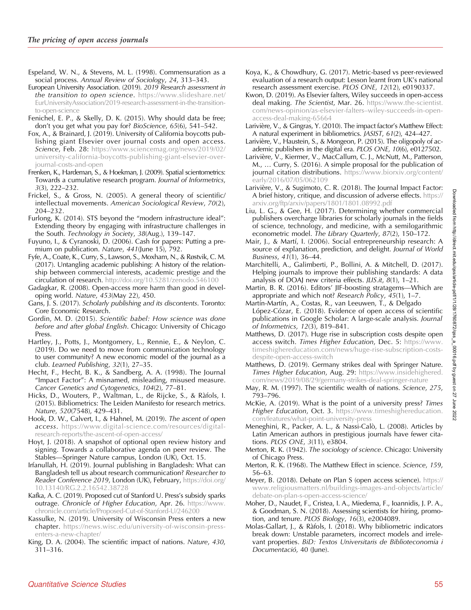- <span id="page-27-0"></span>Espeland, W. N., & Stevens, M. L. (1998). Commensuration as a social process. Annual Review of Sociology, 24, 313–343.
- European University Association. (2019). 2019 Research assessment in the transition to open science. [https://www.slideshare.net/](https://www.slideshare.net/EurUniversityAssociation/2019-research-assessment-in-the-transition-to-open-science) [EurUniversityAssociation/2019-research-assessment-in-the-transition](https://www.slideshare.net/EurUniversityAssociation/2019-research-assessment-in-the-transition-to-open-science)[to-open-science](https://www.slideshare.net/EurUniversityAssociation/2019-research-assessment-in-the-transition-to-open-science)
- Fenichel, E. P., & Skelly, D. K. (2015). Why should data be free; don't you get what you pay for? BioScience, 65(6), 541–542.
- Fox, A., & Brainard, J. (2019). University of California boycotts publishing giant Elsevier over journal costs and open access. Science, Feb. 28: [https://www.sciencemag.org/news/2019/02/](https://www.sciencemag.org/news/2019/02/university-california-boycotts-publishing-giant-elsevier-over-journal-costs-and-open) [university-california-boycotts-publishing-giant-elsevier-over](https://www.sciencemag.org/news/2019/02/university-california-boycotts-publishing-giant-elsevier-over-journal-costs-and-open)[journal-costs-and-open](https://www.sciencemag.org/news/2019/02/university-california-boycotts-publishing-giant-elsevier-over-journal-costs-and-open)
- Frenken, K., Hardeman, S., & Hoekman, J. (2009). Spatial scientometrics: Towards a cumulative research program. Journal of Informetrics, 3(3), 222–232.
- Frickel, S., & Gross, N. (2005). A general theory of scientific/ intellectual movements. American Sociological Review, 70(2), 204–232.
- Furlong, K. (2014). STS beyond the "modern infrastructure ideal": Extending theory by engaging with infrastructure challenges in the South. Technology in Society, 38(Aug.), 139–147.
- Fuyuno, I., & Cyranoski, D. (2006). Cash for papers: Putting a premium on publication. Nature, 441(June 15), 792.
- Fyfe, A., Coate, K., Curry, S., Lawson, S., Moxham, N., & Røstvik, C. M. (2017). Untangling academic publishing: A history of the relationship between commercial interests, academic prestige and the circulation of research. <http://doi.org/10.5281/zenodo.546100>
- Gadagkar, R. (2008). Open-access more harm than good in developing world. Nature, 453(May 22), 450.
- Gans, J. S. (2017). Scholarly publishing and its discontents. Toronto: Core Economic Research.
- Gordin, M. D. (2015). Scientific babel: How science was done before and after global English. Chicago: University of Chicago Press.
- Hartley, J., Potts, J., Montgomery, L., Rennie, E., & Neylon, C. (2019). Do we need to move from communication technology to user community? A new economic model of the journal as a club. Learned Publishing, 32(1), 27–35.
- Hecht, F., Hecht, B. K., & Sandberg, A. A. (1998). The Journal "Impact Factor": A misnamed, misleading, misused measure. Cancer Genetics and Cytogenetics, 104(2), 77–81.
- Hicks, D., Wouters, P., Waltman, L., de Rijcke, S., & Ràfols, I. (2015). Bibliometrics: The Leiden Manifesto for research metrics. Nature, 520(7548), 429–431.
- Hook, D. W., Calvert, I., & Hahnel, M. (2019). The ascent of open access. [https://www.digital-science.com/resources/digital](https://www.digital-science.com/resources/digital-research-reports/the-ascent-of-open-access/)[research-reports/the-ascent-of-open-access/](https://www.digital-science.com/resources/digital-research-reports/the-ascent-of-open-access/)
- Hoyt, J. (2018). A snapshot of optional open review history and signing. Towards a collaborative agenda on peer review. The Stables—Springer Nature campus, London (UK), Oct. 15.
- Irfanullah, H. (2019). Journal publishing in Bangladesh: What can Bangladesh tell us about research communication? Researcher to Reader Conference 2019, London (UK), February, [https://doi.org/](https://doi.org/10.13140/RG.2.2.16542.38728) [10.13140/RG.2.2.16542.38728](https://doi.org/10.13140/RG.2.2.16542.38728)
- Kafka, A. C. (2019). Proposed cut of Stanford U. Press's subsidy sparks outrage. Chronicle of Higher Education, Apr. 26. [https://www.](https://www.chronicle.com/article/Proposed-Cut-of-Stanford-U/246200) [chronicle.com/article/Proposed-Cut-of-Stanford-U/246200](https://www.chronicle.com/article/Proposed-Cut-of-Stanford-U/246200)
- Kassulke, N. (2019). University of Wisconsin Press enters a new chapter. [https://news.wisc.edu/university-of-wisconsin-press](https://news.wisc.edu/university-of-wisconsin-press-enters-a-new-chapter/)[enters-a-new-chapter/](https://news.wisc.edu/university-of-wisconsin-press-enters-a-new-chapter/)
- King, D. A. (2004). The scientific impact of nations. Nature, 430, 311–316.
- Koya, K., & Chowdhury, G. (2017). Metric-based vs peer-reviewed evaluation of a research output: Lesson learnt from UK's national research assessment exercise. PLOS ONE, 12(12), e0190337.
- Kwon, D. (2019). As Elsevier falters, Wiley succeeds in open-access deal making. The Scientist, Mar. 26. [https://www.the-scientist.](https://www.the-scientist.com/news-opinion/as-elsevier-falters--wiley-succeeds-in-open-access-deal-making-65664) [com/news-opinion/as-elsevier-falters](https://www.the-scientist.com/news-opinion/as-elsevier-falters--wiley-succeeds-in-open-access-deal-making-65664)–wiley-succeeds-in-open[access-deal-making-65664](https://www.the-scientist.com/news-opinion/as-elsevier-falters--wiley-succeeds-in-open-access-deal-making-65664)
- Larivière, V., & Gingras, Y. (2010). The impact factor's Matthew Effect: A natural experiment in bibliometrics. JASIST, 61(2), 424–427.
- Larivière, V., Haustein, S., & Mongeon, P. (2015). The oligopoly of academic publishers in the digital era. PLOS ONE, 10(6), e0127502.
- Larivière, V., Kiermer, V., MacCallum, C. J., McNutt, M., Patterson, M., … Curry, S. (2016). A simple proposal for the publication of journal citation distributions. [https://www.biorxiv.org/content/](https://www.biorxiv.org/content/early/2016/07/05/062109) [early/2016/07/05/062109](https://www.biorxiv.org/content/early/2016/07/05/062109)
- Larivière, V., & Sugimoto, C. R. (2018). The Journal Impact Factor: A brief history, critique, and discussion of adverse effects. [https://](https://arxiv.org/ftp/arxiv/papers/1801/1801.08992.pdf) [arxiv.org/ftp/arxiv/papers/1801/1801.08992.pdf](https://arxiv.org/ftp/arxiv/papers/1801/1801.08992.pdf)
- Liu, L. G., & Gee, H. (2017). Determining whether commercial publishers overcharge libraries for scholarly journals in the fields of science, technology, and medicine, with a semilogarithmic econometric model. The Library Quarterly, 87(2), 150–172.
- Mair, J., & Martí, I. (2006). Social entrepreneurship research: A source of explanation, prediction, and delight. Journal of World Business, 41(1), 36–44.
- Marchitelli, A., Galimberti, P., Bollini, A. & Mitchell, D. (2017). Helping journals to improve their publishing standards: A data analysis of DOAJ new criteria effects. JLIS.it, 8(1), 1–21.
- Martin, B. R. (2016). Editors' JIF-boosting stratagems—Which are appropriate and which not? Research Policy,  $45(1)$ , 1–7.
- Martín-Martín, A., Costas, R., van Leeuwen, T., & Delgado López-Cózar, E. (2018). Evidence of open access of scientific publications in Google Scholar: A large-scale analysis. Journal of Informetrics, 12(3), 819–841.
- Matthews, D. (2017). Huge rise in subscription costs despite open access switch. Times Higher Education, Dec. 5: [https://www.](https://www.timeshighereducation.com/news/huge-rise-subscription-costs-despite-open-access-switch) [timeshighereducation.com/news/huge-rise-subscription-costs](https://www.timeshighereducation.com/news/huge-rise-subscription-costs-despite-open-access-switch)[despite-open-access-switch](https://www.timeshighereducation.com/news/huge-rise-subscription-costs-despite-open-access-switch)
- Matthews, D. (2019). Germany strikes deal with Springer Nature. Times Higher Education, Aug. 29: [https://www.insidehighered.](https://www.insidehighered.com/news/2019/08/29/germany-strikes-deal-springer-nature) [com/news/2019/08/29/germany-strikes-deal-springer-nature](https://www.insidehighered.com/news/2019/08/29/germany-strikes-deal-springer-nature)
- May, R. M. (1997). The scientific wealth of nations. Science, 275, 793–796.
- McKie, A. (2019). What is the point of a university press? Times Higher Education, Oct. 3. [https://www.timeshighereducation.](https://www.timeshighereducation.com/features/what-point-university-press) [com/features/what-point-university-press](https://www.timeshighereducation.com/features/what-point-university-press)
- Meneghini, R., Packer, A. L., & Nassi-Calò, L. (2008). Articles by Latin American authors in prestigious journals have fewer citations. PLOS ONE, 3(11), e3804.
- Merton, R. K. (1942). The sociology of science. Chicago: University of Chicago Press.
- Merton, R. K. (1968). The Matthew Effect in science. Science, 159, 56–63.
- Meyer, B. (2018). Debate on Plan S (open access science). [https://](https://www.religiousmatters.nl/buildings-images-and-objects/article/debate-on-plan-s-open-access-science/) [www.religiousmatters.nl/buildings-images-and-objects/article/](https://www.religiousmatters.nl/buildings-images-and-objects/article/debate-on-plan-s-open-access-science/) [debate-on-plan-s-open-access-science/](https://www.religiousmatters.nl/buildings-images-and-objects/article/debate-on-plan-s-open-access-science/)
- Moher, D., Naudet, F., Cristea, I. A., Miedema, F., Ioannidis, J. P. A., & Goodman, S. N. (2018). Assessing scientists for hiring, promotion, and tenure. PLOS Biology, 16(3), e2004089.
- Molas-Gallart, J., & Ràfols, I. (2018). Why bibliometric indicators break down: Unstable parameters, incorrect models and irrelevant properties. BiD: Textos Universitaris de Biblioteconomia i Documentació, 40 (June).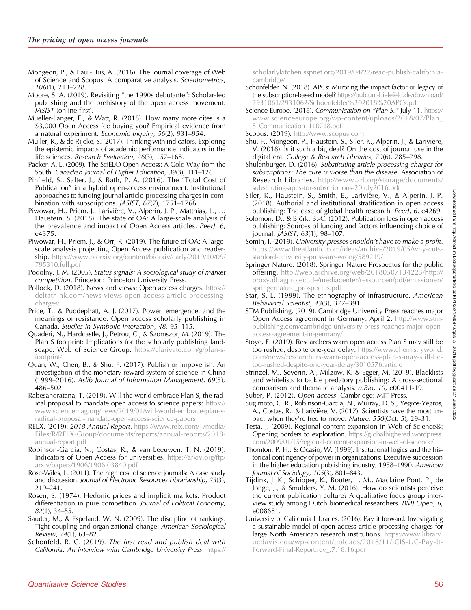<span id="page-28-0"></span>Mongeon, P., & Paul-Hus, A. (2016). The journal coverage of Web of Science and Scopus: A comparative analysis. Scientometrics, 106(1), 213–228.

Moore, S. A. (2019). Revisiting "the 1990s debutante": Scholar-led publishing and the prehistory of the open access movement. JASIST (online first).

Mueller-Langer, F., & Watt, R. (2018). How many more cites is a \$3,000 Open Access fee buying you? Empirical evidence from a natural experiment. Economic Inquiry, 56(2), 931–954.

Müller, R., & de Rijcke, S. (2017). Thinking with indicators. Exploring the epistemic impacts of academic performance indicators in the life sciences. Research Evaluation, 26(3), 157–168.

Packer, A. L. (2009). The SciELO Open Access: A Gold Way from the South. Canadian Journal of Higher Education, 39(3), 111–126.

Pinfield, S., Salter, J., & Bath, P. A. (2016). The "Total Cost of Publication" in a hybrid open-access environment: Institutional approaches to funding journal article-processing charges in combination with subscriptions. JASIST, 67(7), 1751–1766.

Piwowar, H., Priem, J., Larivière, V., Alperin, J. P., Matthias, L., … Haustein, S. (2018). The state of OA: A large-scale analysis of the prevalence and impact of Open Access articles. PeerJ, 6, e4375.

Piwowar, H., Priem, J., & Orr, R. (2019). The future of OA: A largescale analysis projecting Open Access publication and readership. [https://www.biorxiv.org/content/biorxiv/early/2019/10/09/](https://www.biorxiv.org/content/biorxiv/early/2019/10/09/795310.full.pdf) [795310.full.pdf](https://www.biorxiv.org/content/biorxiv/early/2019/10/09/795310.full.pdf)

Podolny, J. M. (2005). Status signals: A sociological study of market competition. Princeton: Princeton University Press.

Pollock, D. (2018). News and views: Open access charges. [https://](https://deltathink.com/news-views-open-access-article-processing-charges/) [deltathink.com/news-views-open-access-article-processing](https://deltathink.com/news-views-open-access-article-processing-charges/)[charges/](https://deltathink.com/news-views-open-access-article-processing-charges/)

Price, T., & Puddephatt, A. J. (2017). Power, emergence, and the meanings of resistance: Open access scholarly publishing in Canada. Studies in Symbolic Interaction, 48, 95–115.

Quaderi, N., Hardcastle, J., Petrou, C., & Szomszor, M. (2019). The Plan S footprint: Implications for the scholarly publishing landscape. Web of Science Group. [https://clarivate.com/g/plan-s](https://clarivate.com/g/plan-s-footprint/)[footprint/](https://clarivate.com/g/plan-s-footprint/)

Quan, W., Chen, B., & Shu, F. (2017). Publish or impoverish: An investigation of the monetary reward system of science in China (1999–2016). Aslib Journal of Information Management, 69(5), 486–502.

Rabesandratana, T. (2019). Will the world embrace Plan S, the radical proposal to mandate open access to science papers? [https://](https://www.sciencemag.org/news/2019/01/will-world-embrace-plan-s-radical-proposal-mandate-open-access-science-papers) [www.sciencemag.org/news/2019/01/will-world-embrace-plan-s](https://www.sciencemag.org/news/2019/01/will-world-embrace-plan-s-radical-proposal-mandate-open-access-science-papers)[radical-proposal-mandate-open-access-science-papers](https://www.sciencemag.org/news/2019/01/will-world-embrace-plan-s-radical-proposal-mandate-open-access-science-papers)

RELX. (2019). 2018 Annual Report. [https://www.relx.com/~/media/](https://www.relx.com/~/media/Files/R/RELX-Group/documents/reports/annual-reports/2018-annual-report.pdf) [Files/R/RELX-Group/documents/reports/annual-reports/2018](https://www.relx.com/~/media/Files/R/RELX-Group/documents/reports/annual-reports/2018-annual-report.pdf) [annual-report.pdf](https://www.relx.com/~/media/Files/R/RELX-Group/documents/reports/annual-reports/2018-annual-report.pdf)

Robinson-Garcia, N., Costas, R., & van Leeuwen, T. N. (2019). Indicators of Open Access for universities. [https://arxiv.org/ftp/](https://arxiv.org/ftp/arxiv/papers/1906/1906.03840.pdf) [arxiv/papers/1906/1906.03840.pdf](https://arxiv.org/ftp/arxiv/papers/1906/1906.03840.pdf)

Rose-Wiles, L. (2011). The high cost of science journals: A case study and discussion. Journal of Electronic Resources Librarianship, 23(3), 219–241.

Rosen, S. (1974). Hedonic prices and implicit markets: Product differentiation in pure competition. Journal of Political Economy, 82(1), 34–55.

Sauder, M., & Espeland, W. N. (2009). The discipline of rankings: Tight coupling and organizational change. American Sociological Review, 74(1), 63–82.

Schonfeld, R. C. (2019). The first read and publish deal with California: An interview with Cambridge University Press. [https://](https://scholarlykitchen.sspnet.org/2019/04/22/read-publish-california-cambridge/)

[scholarlykitchen.sspnet.org/2019/04/22/read-publish-california](https://scholarlykitchen.sspnet.org/2019/04/22/read-publish-california-cambridge/)[cambridge/](https://scholarlykitchen.sspnet.org/2019/04/22/read-publish-california-cambridge/)

- Schönfelder, N. (2018). APCs: Mirroring the impact factor or legacy of the subscription-based model? [https://pub.uni-bielefeld.de/download/](https://pub.uni-bielefeld.de/download/2931061/2931062/Schoenfelder%202018%20APCs.pdf) [2931061/2931062/Schoenfelder%202018%20APCs.pdf](https://pub.uni-bielefeld.de/download/2931061/2931062/Schoenfelder%202018%20APCs.pdf)
- Science Europe. (2018). Communication on "Plan S." July 11. [https://](https://www.scienceeurope.org/wp-content/uploads/2018/07/Plan_S_Communication_110718.pdf) [www.scienceeurope.org/wp-content/uploads/2018/07/Plan\\_](https://www.scienceeurope.org/wp-content/uploads/2018/07/Plan_S_Communication_110718.pdf) [S\\_Communication\\_110718.pdf](https://www.scienceeurope.org/wp-content/uploads/2018/07/Plan_S_Communication_110718.pdf)

Scopus. (2019). <http://www.scopus.com>

Shu, F., Mongeon, P., Haustein, S., Siler, K., Alperin, J., & Larivière, V. (2018). Is it such a big deal? On the cost of journal use in the digital era. College & Research Libraries, 79(6), 785–798.

Shulenburger, D. (2016). Substituting article processing charges for subscriptions: The cure is worse than the disease. Association of Research Libraries. [http://www.arl.org/storage/documents/](%20http://www.arl.org/storage/documents/substituting-apcs-for-subscriptions-20july2016.pdf) [substituting-apcs-for-subscriptions-20july2016.pdf](%20http://www.arl.org/storage/documents/substituting-apcs-for-subscriptions-20july2016.pdf)

Siler, K., Haustein, S., Smith, E., Larivière, V., & Alperin, J. P. (2018). Authorial and institutional stratification in open access publishing: The case of global health research. PeerJ, 6, e4269.

Solomon, D., & Björk, B.-C. (2012). Publication fees in open access publishing: Sources of funding and factors influencing choice of journal. JASIST, 63(1), 98–107.

Somin, I. (2019). University presses shouldn't have to make a profit. [https://www.theatlantic.com/ideas/archive/2019/05/why-cuts](https://www.theatlantic.com/ideas/archive/2019/05/why-cuts-stanford-university-press-are-wrong/589219/)[stanford-university-press-are-wrong/589219/](https://www.theatlantic.com/ideas/archive/2019/05/why-cuts-stanford-university-press-are-wrong/589219/)

Springer Nature. (2018). Springer Nature Prospectus for the public offering. [http://web.archive.org/web/20180507134223/http://](http://web.archive.org/web/20180507134223/http://proxy.dbagproject.de/mediacenter/ressourcen/pdf/emissionen/springernature_prospectus.pdf) [proxy.dbagproject.de/mediacenter/ressourcen/pdf/emissionen/](http://web.archive.org/web/20180507134223/http://proxy.dbagproject.de/mediacenter/ressourcen/pdf/emissionen/springernature_prospectus.pdf) [springernature\\_prospectus.pdf](http://web.archive.org/web/20180507134223/http://proxy.dbagproject.de/mediacenter/ressourcen/pdf/emissionen/springernature_prospectus.pdf)

- Star, S. L. (1999). The ethnography of infrastructure. American Behavioral Scientist, 43(3), 377–391.
- STM Publishing. (2019). Cambridge University Press reaches major Open Access agreement in Germany. April 2. [http://www.stm](http://www.stm-publishing.com/cambridge-university-press-reaches-major-open-access-agreement-in-germany/)[publishing.com/cambridge-university-press-reaches-major-open](http://www.stm-publishing.com/cambridge-university-press-reaches-major-open-access-agreement-in-germany/)[access-agreement-in-germany/](http://www.stm-publishing.com/cambridge-university-press-reaches-major-open-access-agreement-in-germany/)
- Stoye, E. (2019). Researchers warn open access Plan S may still be too rushed, despite one-year delay. [https://www.chemistryworld.](https://www.chemistryworld.com/news/researchers-warn-open-access-plan-s-may-still-be-too-rushed-despite-one-year-delay/3010576.article) [com/news/researchers-warn-open-access-plan-s-may-still-be](https://www.chemistryworld.com/news/researchers-warn-open-access-plan-s-may-still-be-too-rushed-despite-one-year-delay/3010576.article)[too-rushed-despite-one-year-delay/3010576.article](https://www.chemistryworld.com/news/researchers-warn-open-access-plan-s-may-still-be-too-rushed-despite-one-year-delay/3010576.article)
- Strinzel, M., Severin, A., Milzow, K. & Egger, M. (2019). Blacklists and whitelists to tackle predatory publishing: A cross-sectional comparison and thematic analysis. mBio, 10, e00411-19.

Suber, P. (2012). Open access. Cambridge: MIT Press.

Sugimoto, C. R., Robinson-Garcia, N., Murray, D. S., Yegros-Yegros, A., Costas, R., & Larivière, V. (2017). Scientists have the most impact when they're free to move. Nature, 550(Oct. 5), 29–31.

Testa, J. (2009). Regional content expansion in Web of Science®: **Opening borders to exploration.** [https://globalhighered.wordpress.](https://globalhighered.wordpress.com/2009/01/15/regional-content-expansion-in-web-of-science/) [com/2009/01/15/regional-content-expansion-in-web-of-science/](https://globalhighered.wordpress.com/2009/01/15/regional-content-expansion-in-web-of-science/)

Thornton, P. H., & Ocasio, W. (1999). Institutional logics and the historical contingency of power in organizations: Executive succession in the higher education publishing industry, 1958–1990. American Journal of Sociology, 105(3), 801–843.

- Tijdink, J. K., Schipper, K., Bouter, L. M., Maclaine Pont, P., de Jonge, J., & Smulders, Y. M. (2016). How do scientists perceive the current publication culture? A qualitative focus group interview study among Dutch biomedical researchers. BMJ Open, 6, e008681.
- University of California Libraries. (2016). Pay it forward: Investigating a sustainable model of open access article processing charges for large North American research institutions. [https://www.library.](https://www.library.ucdavis.edu/wp-content/uploads/2018/11/ICIS-UC-Pay-It-Forward-Final-Report.rev_.7.18.16.pdf) [ucdavis.edu/wp-content/uploads/2018/11/ICIS-UC-Pay-It-](https://www.library.ucdavis.edu/wp-content/uploads/2018/11/ICIS-UC-Pay-It-Forward-Final-Report.rev_.7.18.16.pdf)[Forward-Final-Report.rev\\_.7.18.16.pdf](https://www.library.ucdavis.edu/wp-content/uploads/2018/11/ICIS-UC-Pay-It-Forward-Final-Report.rev_.7.18.16.pdf)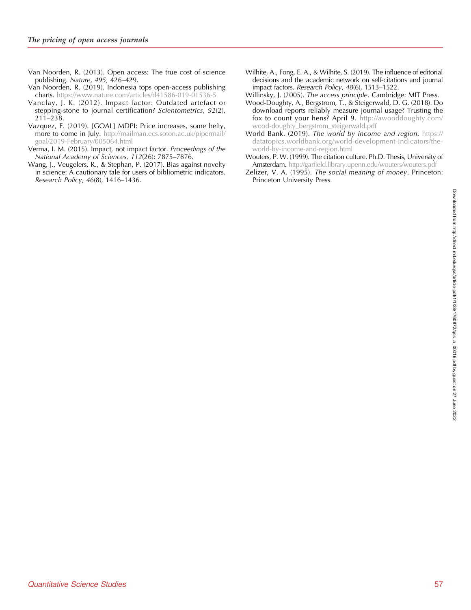- <span id="page-29-0"></span>Van Noorden, R. (2013). Open access: The true cost of science publishing. Nature, 495, 426–429.
- Van Noorden, R. (2019). Indonesia tops open-access publishing charts. <https://www.nature.com/articles/d41586-019-01536-5>
- Vanclay, J. K. (2012). Impact factor: Outdated artefact or stepping-stone to journal certification? Scientometrics, 92(2), 211–238.
- Vazquez, F. (2019). [GOAL] MDPI: Price increases, some hefty, more to come in July. [http://mailman.ecs.soton.ac.uk/pipermail/](http://mailman.ecs.soton.ac.uk/pipermail/goal/2019-February/005064.html) [goal/2019-February/005064.html](http://mailman.ecs.soton.ac.uk/pipermail/goal/2019-February/005064.html)
- Verma, I. M. (2015). Impact, not impact factor. Proceedings of the National Academy of Sciences, 112(26): 7875–7876.
- Wang, J., Veugelers, R., & Stephan, P. (2017). Bias against novelty in science: A cautionary tale for users of bibliometric indicators. Research Policy, 46(8), 1416–1436.
- Wilhite, A., Fong, E. A., & Wilhite, S. (2019). The influence of editorial decisions and the academic network on self-citations and journal impact factors. Research Policy, 48(6), 1513–1522.
- Willinsky, J. (2005). The access principle. Cambridge: MIT Press. Wood-Doughty, A., Bergstrom, T., & Steigerwald, D. G. (2018). Do download reports reliably measure journal usage? Trusting the fox to count your hens? April 9. [http://awooddoughty.com/](http://awooddoughty.com/wood-doughty_bergstrom_steigerwald.pdf) [wood-doughty\\_bergstrom\\_steigerwald.pdf](http://awooddoughty.com/wood-doughty_bergstrom_steigerwald.pdf)
- World Bank. (2019). The world by income and region. [https://](https://datatopics.worldbank.org/world-development-indicators/the-world-by-income-and-region.html) [datatopics.worldbank.org/world-development-indicators/the](https://datatopics.worldbank.org/world-development-indicators/the-world-by-income-and-region.html)[world-by-income-and-region.html](https://datatopics.worldbank.org/world-development-indicators/the-world-by-income-and-region.html)
- Wouters, P. W. (1999). The citation culture. Ph.D. Thesis, University of Amsterdam. <http://garfield.library.upenn.edu/wouters/wouters.pdf>
- Zelizer, V. A. (1995). The social meaning of money. Princeton: Princeton University Press.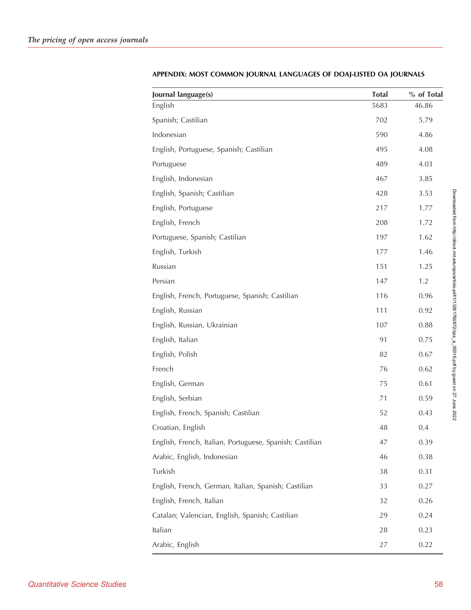| Journal language(s)                                      | <b>Total</b> | % of Total |
|----------------------------------------------------------|--------------|------------|
| English                                                  | 5683         | 46.86      |
| Spanish; Castilian                                       | 702          | 5.79       |
| Indonesian                                               | 590          | 4.86       |
| English, Portuguese, Spanish; Castilian                  | 495          | 4.08       |
| Portuguese                                               | 489          | 4.03       |
| English, Indonesian                                      | 467          | 3.85       |
| English, Spanish; Castilian                              | 428          | 3.53       |
| English, Portuguese                                      | 217          | 1.77       |
| English, French                                          | 208          | 1.72       |
| Portuguese, Spanish; Castilian                           | 197          | 1.62       |
| English, Turkish                                         | 177          | 1.46       |
| Russian                                                  | 151          | 1.25       |
| Persian                                                  | 147          | 1.2        |
| English, French, Portuguese, Spanish; Castilian          | 116          | 0.96       |
| English, Russian                                         | 111          | 0.92       |
| English, Russian, Ukrainian                              | 107          | 0.88       |
| English, Italian                                         | 91           | 0.75       |
| English, Polish                                          | 82           | 0.67       |
| French                                                   | 76           | 0.62       |
| English, German                                          | 75           | 0.61       |
| English, Serbian                                         | 71           | 0.59       |
| English, French, Spanish; Castilian                      | 52           | 0.43       |
| Croatian, English                                        | 48           | 0.4        |
| English, French, Italian, Portuguese, Spanish; Castilian | 47           | 0.39       |
| Arabic, English, Indonesian                              | 46           | 0.38       |
| Turkish                                                  | 38           | 0.31       |
| English, French, German, Italian, Spanish; Castilian     | 33           | 0.27       |
| English, French, Italian                                 | 32           | 0.26       |
| Catalan; Valencian, English, Spanish; Castilian          | 29           | 0.24       |
| Italian                                                  | 28           | 0.23       |
| Arabic, English                                          | 27           | 0.22       |
|                                                          |              |            |

# APPENDIX: MOST COMMON JOURNAL LANGUAGES OF DOAJ-LISTED OA JOURNALS